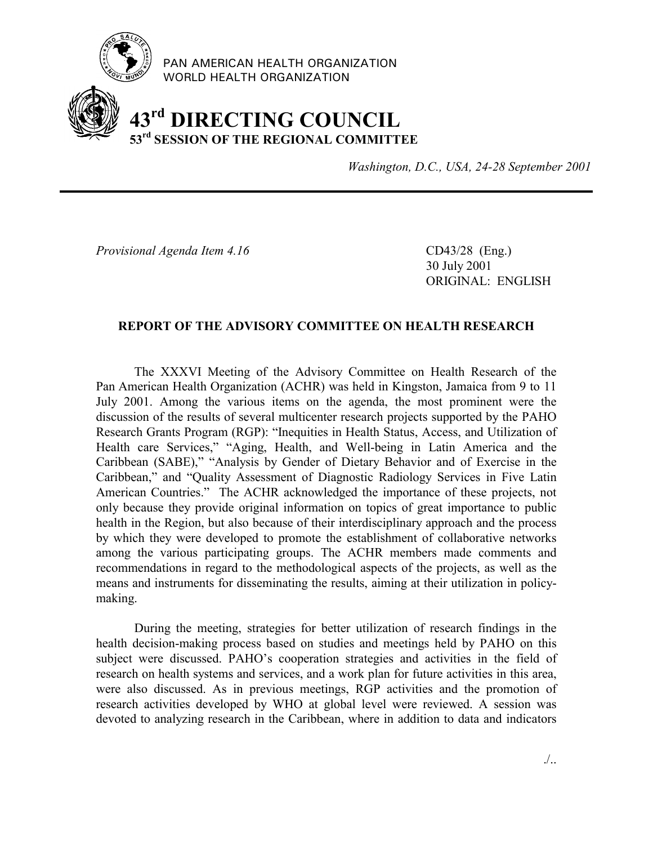

PAN AMERICAN HEALTH ORGANIZATION WORLD HEALTH ORGANIZATION

# **43rd DIRECTING COUNCIL 53rd SESSION OF THE REGIONAL COMMITTEE**

*Washington, D.C., USA, 24-28 September 2001*

*Provisional Agenda Item 4.16* CD43/28 (Eng.)

30 July 2001 ORIGINAL: ENGLISH

## **REPORT OF THE ADVISORY COMMITTEE ON HEALTH RESEARCH**

The XXXVI Meeting of the Advisory Committee on Health Research of the Pan American Health Organization (ACHR) was held in Kingston, Jamaica from 9 to 11 July 2001. Among the various items on the agenda, the most prominent were the discussion of the results of several multicenter research projects supported by the PAHO Research Grants Program (RGP): "Inequities in Health Status, Access, and Utilization of Health care Services," "Aging, Health, and Well-being in Latin America and the Caribbean (SABE)," "Analysis by Gender of Dietary Behavior and of Exercise in the Caribbean," and "Quality Assessment of Diagnostic Radiology Services in Five Latin American Countries." The ACHR acknowledged the importance of these projects, not only because they provide original information on topics of great importance to public health in the Region, but also because of their interdisciplinary approach and the process by which they were developed to promote the establishment of collaborative networks among the various participating groups. The ACHR members made comments and recommendations in regard to the methodological aspects of the projects, as well as the means and instruments for disseminating the results, aiming at their utilization in policymaking.

During the meeting, strategies for better utilization of research findings in the health decision-making process based on studies and meetings held by PAHO on this subject were discussed. PAHO's cooperation strategies and activities in the field of research on health systems and services, and a work plan for future activities in this area, were also discussed. As in previous meetings, RGP activities and the promotion of research activities developed by WHO at global level were reviewed. A session was devoted to analyzing research in the Caribbean, where in addition to data and indicators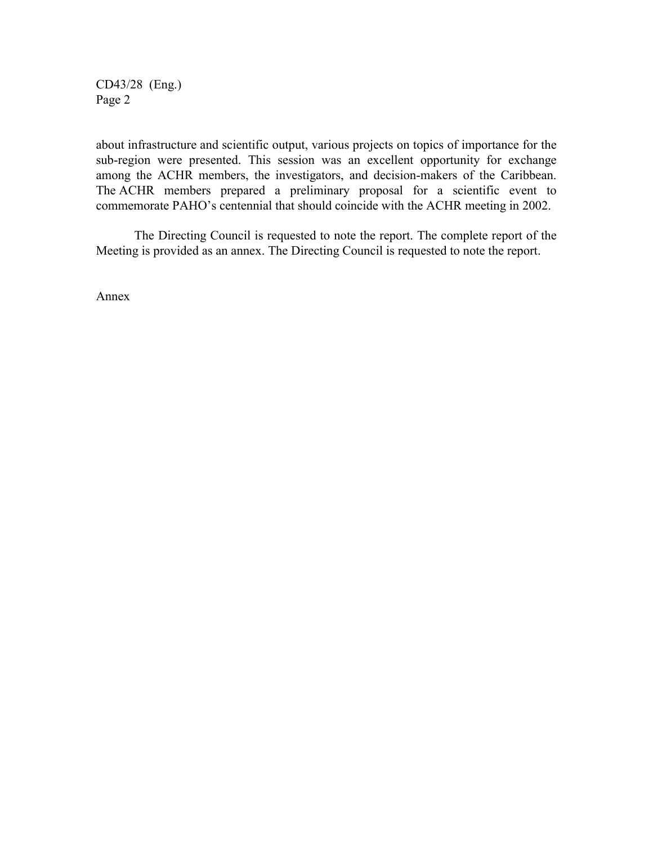CD43/28 (Eng.) Page 2

about infrastructure and scientific output, various projects on topics of importance for the sub-region were presented. This session was an excellent opportunity for exchange among the ACHR members, the investigators, and decision-makers of the Caribbean. The ACHR members prepared a preliminary proposal for a scientific event to commemorate PAHO's centennial that should coincide with the ACHR meeting in 2002.

The Directing Council is requested to note the report. The complete report of the Meeting is provided as an annex. The Directing Council is requested to note the report.

Annex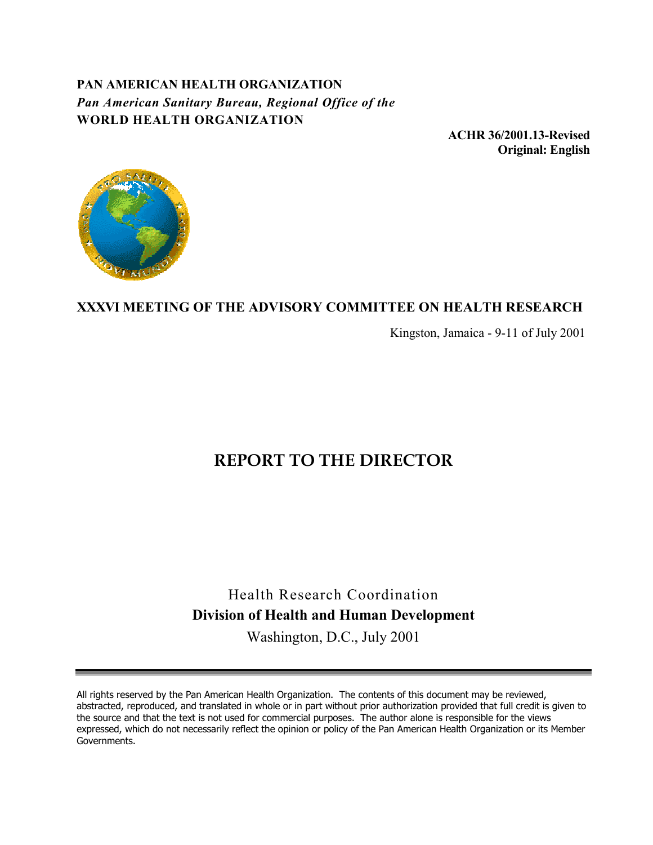## **PAN AMERICAN HEALTH ORGANIZATION** *Pan American Sanitary Bureau, Regional Office of the* **WORLD HEALTH ORGANIZATION**

**ACHR 36/2001.13-Revised Original: English**



## **XXXVI MEETING OF THE ADVISORY COMMITTEE ON HEALTH RESEARCH**

Kingston, Jamaica - 9-11 of July 2001

# **REPORT TO THE DIRECTOR**

# Health Research Coordination **Division of Health and Human Development** Washington, D.C., July 2001

All rights reserved by the Pan American Health Organization. The contents of this document may be reviewed, abstracted, reproduced, and translated in whole or in part without prior authorization provided that full credit is given to the source and that the text is not used for commercial purposes. The author alone is responsible for the views expressed, which do not necessarily reflect the opinion or policy of the Pan American Health Organization or its Member Governments.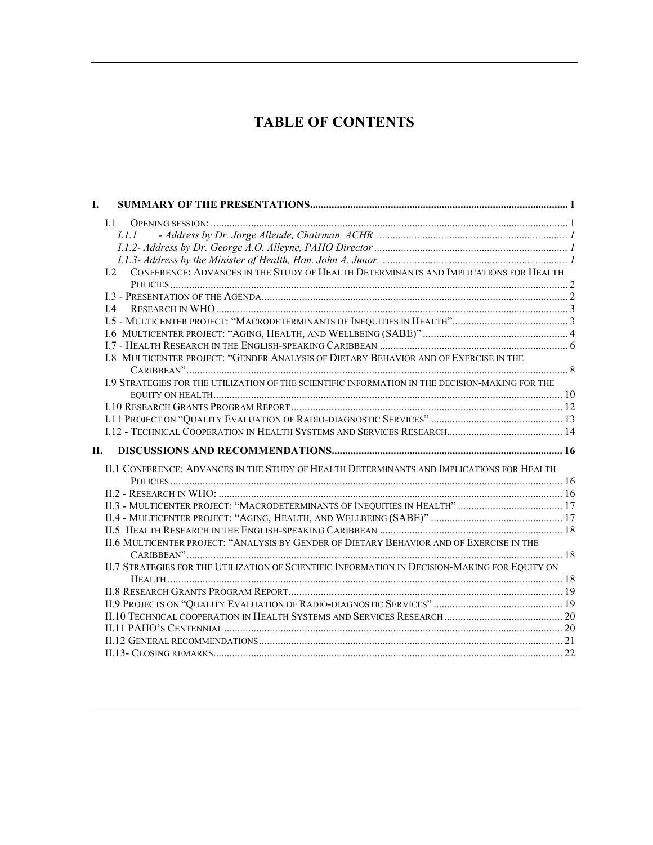# **TABLE OF CONTENTS**

| I. |                                                                                                 |  |
|----|-------------------------------------------------------------------------------------------------|--|
|    | $\overline{11}$                                                                                 |  |
|    | 1.1.1                                                                                           |  |
|    |                                                                                                 |  |
|    |                                                                                                 |  |
|    | I.2 CONFERENCE: ADVANCES IN THE STUDY OF HEALTH DETERMINANTS AND IMPLICATIONS FOR HEALTH        |  |
|    |                                                                                                 |  |
|    |                                                                                                 |  |
|    |                                                                                                 |  |
|    |                                                                                                 |  |
|    |                                                                                                 |  |
|    |                                                                                                 |  |
|    | I.8 MULTICENTER PROJECT: "GENDER ANALYSIS OF DIETARY BEHAVIOR AND OF EXERCISE IN THE            |  |
|    |                                                                                                 |  |
|    | I.9 STRATEGIES FOR THE UTILIZATION OF THE SCIENTIFIC INFORMATION IN THE DECISION-MAKING FOR THE |  |
|    |                                                                                                 |  |
|    |                                                                                                 |  |
|    |                                                                                                 |  |
| П. |                                                                                                 |  |
|    | II.1 CONFERENCE: ADVANCES IN THE STUDY OF HEALTH DETERMINANTS AND IMPLICATIONS FOR HEALTH       |  |
|    |                                                                                                 |  |
|    |                                                                                                 |  |
|    | II.3 - MULTICENTER PROJECT: "MACRODETERMINANTS OF INEQUITIES IN HEALTH"  17                     |  |
|    |                                                                                                 |  |
|    |                                                                                                 |  |
|    | II.6 MULTICENTER PROJECT: "ANALYSIS BY GENDER OF DIETARY BEHAVIOR AND OF EXERCISE IN THE        |  |
|    |                                                                                                 |  |
|    | II.7 STRATEGIES FOR THE UTILIZATION OF SCIENTIFIC INFORMATION IN DECISION-MAKING FOR EQUITY ON  |  |
|    |                                                                                                 |  |
|    |                                                                                                 |  |
|    |                                                                                                 |  |
|    |                                                                                                 |  |
|    |                                                                                                 |  |
|    |                                                                                                 |  |
|    |                                                                                                 |  |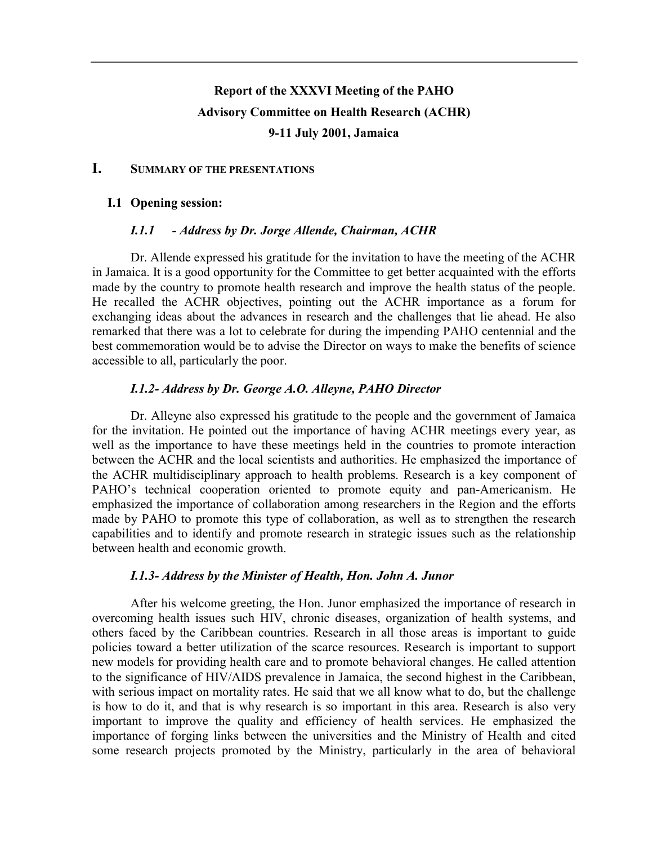# **Report of the XXXVI Meeting of the PAHO Advisory Committee on Health Research (ACHR) 9-11 July 2001, Jamaica**

## **I. SUMMARY OF THE PRESENTATIONS**

#### **I.1 Opening session:**

#### *I.1.1 - Address by Dr. Jorge Allende, Chairman, ACHR*

Dr. Allende expressed his gratitude for the invitation to have the meeting of the ACHR in Jamaica. It is a good opportunity for the Committee to get better acquainted with the efforts made by the country to promote health research and improve the health status of the people. He recalled the ACHR objectives, pointing out the ACHR importance as a forum for exchanging ideas about the advances in research and the challenges that lie ahead. He also remarked that there was a lot to celebrate for during the impending PAHO centennial and the best commemoration would be to advise the Director on ways to make the benefits of science accessible to all, particularly the poor.

#### *I.1.2- Address by Dr. George A.O. Alleyne, PAHO Director*

Dr. Alleyne also expressed his gratitude to the people and the government of Jamaica for the invitation. He pointed out the importance of having ACHR meetings every year, as well as the importance to have these meetings held in the countries to promote interaction between the ACHR and the local scientists and authorities. He emphasized the importance of the ACHR multidisciplinary approach to health problems. Research is a key component of PAHO's technical cooperation oriented to promote equity and pan-Americanism. He emphasized the importance of collaboration among researchers in the Region and the efforts made by PAHO to promote this type of collaboration, as well as to strengthen the research capabilities and to identify and promote research in strategic issues such as the relationship between health and economic growth.

#### *I.1.3- Address by the Minister of Health, Hon. John A. Junor*

After his welcome greeting, the Hon. Junor emphasized the importance of research in overcoming health issues such HIV, chronic diseases, organization of health systems, and others faced by the Caribbean countries. Research in all those areas is important to guide policies toward a better utilization of the scarce resources. Research is important to support new models for providing health care and to promote behavioral changes. He called attention to the significance of HIV/AIDS prevalence in Jamaica, the second highest in the Caribbean, with serious impact on mortality rates. He said that we all know what to do, but the challenge is how to do it, and that is why research is so important in this area. Research is also very important to improve the quality and efficiency of health services. He emphasized the importance of forging links between the universities and the Ministry of Health and cited some research projects promoted by the Ministry, particularly in the area of behavioral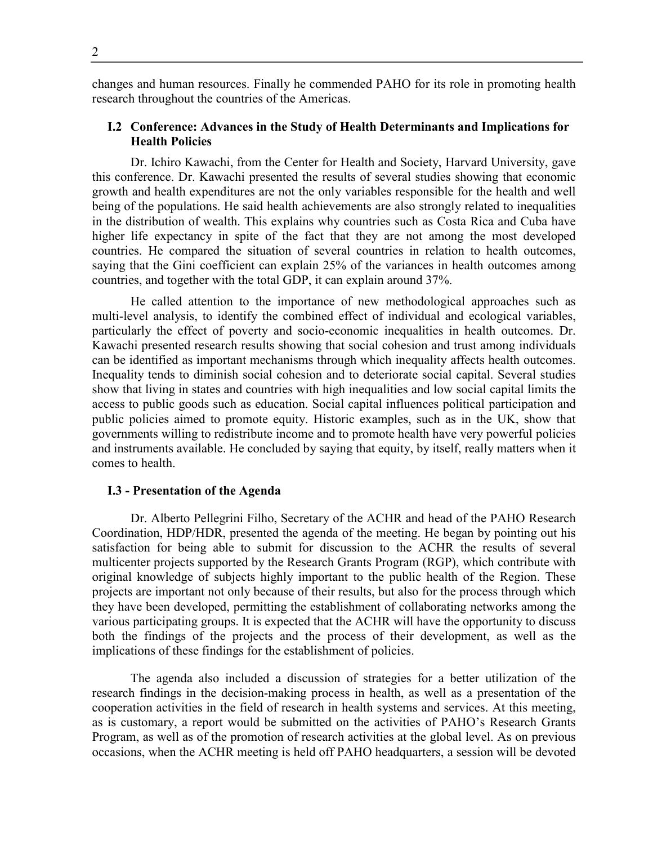changes and human resources. Finally he commended PAHO for its role in promoting health research throughout the countries of the Americas.

### **I.2 Conference: Advances in the Study of Health Determinants and Implications for Health Policies**

Dr. Ichiro Kawachi, from the Center for Health and Society, Harvard University, gave this conference. Dr. Kawachi presented the results of several studies showing that economic growth and health expenditures are not the only variables responsible for the health and well being of the populations. He said health achievements are also strongly related to inequalities in the distribution of wealth. This explains why countries such as Costa Rica and Cuba have higher life expectancy in spite of the fact that they are not among the most developed countries. He compared the situation of several countries in relation to health outcomes, saying that the Gini coefficient can explain 25% of the variances in health outcomes among countries, and together with the total GDP, it can explain around 37%.

He called attention to the importance of new methodological approaches such as multi-level analysis, to identify the combined effect of individual and ecological variables, particularly the effect of poverty and socio-economic inequalities in health outcomes. Dr. Kawachi presented research results showing that social cohesion and trust among individuals can be identified as important mechanisms through which inequality affects health outcomes. Inequality tends to diminish social cohesion and to deteriorate social capital. Several studies show that living in states and countries with high inequalities and low social capital limits the access to public goods such as education. Social capital influences political participation and public policies aimed to promote equity. Historic examples, such as in the UK, show that governments willing to redistribute income and to promote health have very powerful policies and instruments available. He concluded by saying that equity, by itself, really matters when it comes to health.

#### **I.3 - Presentation of the Agenda**

Dr. Alberto Pellegrini Filho, Secretary of the ACHR and head of the PAHO Research Coordination, HDP/HDR, presented the agenda of the meeting. He began by pointing out his satisfaction for being able to submit for discussion to the ACHR the results of several multicenter projects supported by the Research Grants Program (RGP), which contribute with original knowledge of subjects highly important to the public health of the Region. These projects are important not only because of their results, but also for the process through which they have been developed, permitting the establishment of collaborating networks among the various participating groups. It is expected that the ACHR will have the opportunity to discuss both the findings of the projects and the process of their development, as well as the implications of these findings for the establishment of policies.

The agenda also included a discussion of strategies for a better utilization of the research findings in the decision-making process in health, as well as a presentation of the cooperation activities in the field of research in health systems and services. At this meeting, as is customary, a report would be submitted on the activities of PAHO's Research Grants Program, as well as of the promotion of research activities at the global level. As on previous occasions, when the ACHR meeting is held off PAHO headquarters, a session will be devoted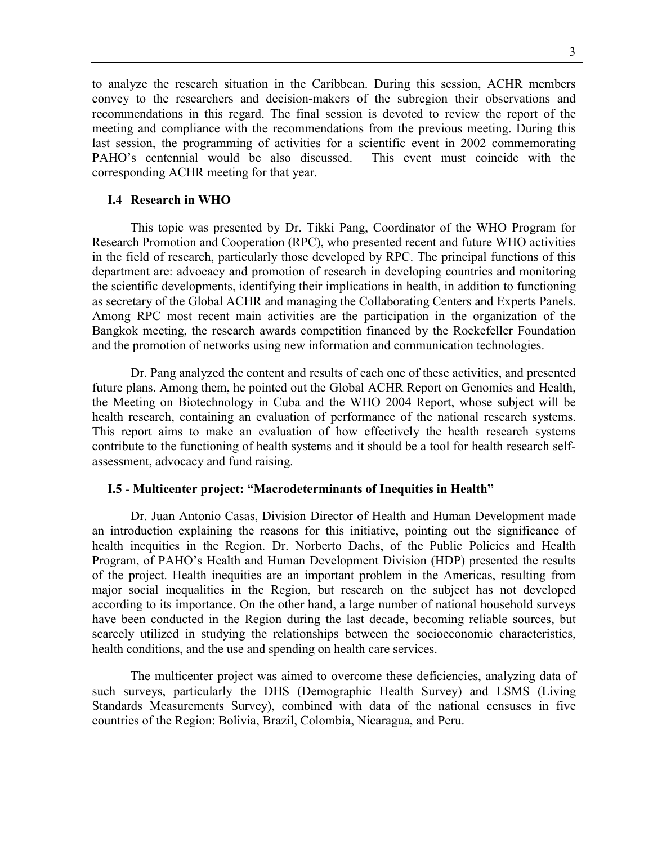to analyze the research situation in the Caribbean. During this session, ACHR members convey to the researchers and decision-makers of the subregion their observations and recommendations in this regard. The final session is devoted to review the report of the meeting and compliance with the recommendations from the previous meeting. During this last session, the programming of activities for a scientific event in 2002 commemorating PAHO's centennial would be also discussed. This event must coincide with the corresponding ACHR meeting for that year.

#### **I.4 Research in WHO**

This topic was presented by Dr. Tikki Pang, Coordinator of the WHO Program for Research Promotion and Cooperation (RPC), who presented recent and future WHO activities in the field of research, particularly those developed by RPC. The principal functions of this department are: advocacy and promotion of research in developing countries and monitoring the scientific developments, identifying their implications in health, in addition to functioning as secretary of the Global ACHR and managing the Collaborating Centers and Experts Panels. Among RPC most recent main activities are the participation in the organization of the Bangkok meeting, the research awards competition financed by the Rockefeller Foundation and the promotion of networks using new information and communication technologies.

Dr. Pang analyzed the content and results of each one of these activities, and presented future plans. Among them, he pointed out the Global ACHR Report on Genomics and Health, the Meeting on Biotechnology in Cuba and the WHO 2004 Report, whose subject will be health research, containing an evaluation of performance of the national research systems. This report aims to make an evaluation of how effectively the health research systems contribute to the functioning of health systems and it should be a tool for health research selfassessment, advocacy and fund raising.

#### **I.5 - Multicenter project: "Macrodeterminants of Inequities in Health"**

Dr. Juan Antonio Casas, Division Director of Health and Human Development made an introduction explaining the reasons for this initiative, pointing out the significance of health inequities in the Region. Dr. Norberto Dachs, of the Public Policies and Health Program, of PAHO's Health and Human Development Division (HDP) presented the results of the project. Health inequities are an important problem in the Americas, resulting from major social inequalities in the Region, but research on the subject has not developed according to its importance. On the other hand, a large number of national household surveys have been conducted in the Region during the last decade, becoming reliable sources, but scarcely utilized in studying the relationships between the socioeconomic characteristics, health conditions, and the use and spending on health care services.

The multicenter project was aimed to overcome these deficiencies, analyzing data of such surveys, particularly the DHS (Demographic Health Survey) and LSMS (Living Standards Measurements Survey), combined with data of the national censuses in five countries of the Region: Bolivia, Brazil, Colombia, Nicaragua, and Peru.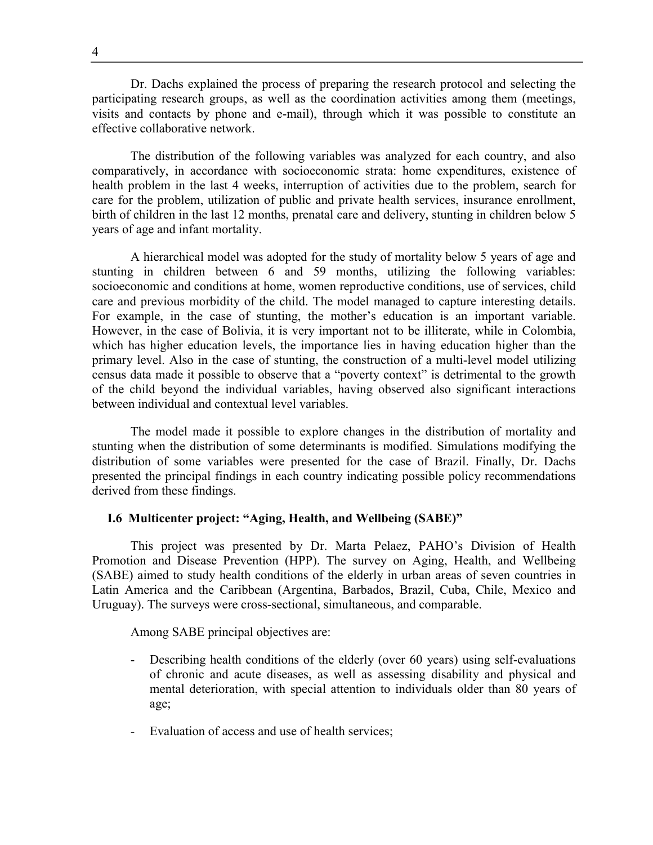Dr. Dachs explained the process of preparing the research protocol and selecting the participating research groups, as well as the coordination activities among them (meetings, visits and contacts by phone and e-mail), through which it was possible to constitute an effective collaborative network.

The distribution of the following variables was analyzed for each country, and also comparatively, in accordance with socioeconomic strata: home expenditures, existence of health problem in the last 4 weeks, interruption of activities due to the problem, search for care for the problem, utilization of public and private health services, insurance enrollment, birth of children in the last 12 months, prenatal care and delivery, stunting in children below 5 years of age and infant mortality.

A hierarchical model was adopted for the study of mortality below 5 years of age and stunting in children between 6 and 59 months, utilizing the following variables: socioeconomic and conditions at home, women reproductive conditions, use of services, child care and previous morbidity of the child. The model managed to capture interesting details. For example, in the case of stunting, the mother's education is an important variable. However, in the case of Bolivia, it is very important not to be illiterate, while in Colombia, which has higher education levels, the importance lies in having education higher than the primary level. Also in the case of stunting, the construction of a multi-level model utilizing census data made it possible to observe that a "poverty context" is detrimental to the growth of the child beyond the individual variables, having observed also significant interactions between individual and contextual level variables.

The model made it possible to explore changes in the distribution of mortality and stunting when the distribution of some determinants is modified. Simulations modifying the distribution of some variables were presented for the case of Brazil. Finally, Dr. Dachs presented the principal findings in each country indicating possible policy recommendations derived from these findings.

#### **I.6 Multicenter project: "Aging, Health, and Wellbeing (SABE)"**

This project was presented by Dr. Marta Pelaez, PAHO's Division of Health Promotion and Disease Prevention (HPP). The survey on Aging, Health, and Wellbeing (SABE) aimed to study health conditions of the elderly in urban areas of seven countries in Latin America and the Caribbean (Argentina, Barbados, Brazil, Cuba, Chile, Mexico and Uruguay). The surveys were cross-sectional, simultaneous, and comparable.

Among SABE principal objectives are:

- Describing health conditions of the elderly (over 60 years) using self-evaluations of chronic and acute diseases, as well as assessing disability and physical and mental deterioration, with special attention to individuals older than 80 years of age;
- Evaluation of access and use of health services;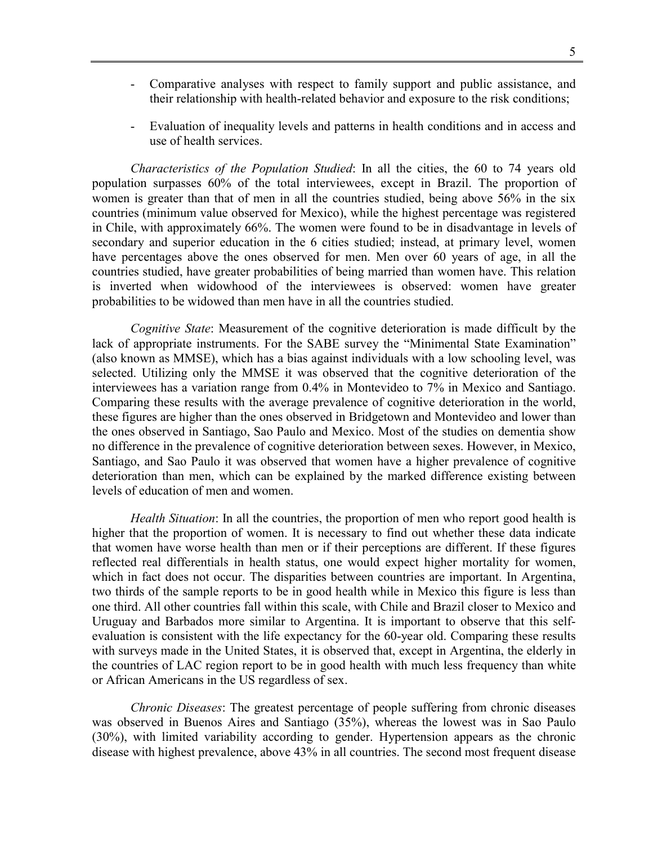- Comparative analyses with respect to family support and public assistance, and their relationship with health-related behavior and exposure to the risk conditions;
- Evaluation of inequality levels and patterns in health conditions and in access and use of health services.

*Characteristics of the Population Studied*: In all the cities, the 60 to 74 years old population surpasses 60% of the total interviewees, except in Brazil. The proportion of women is greater than that of men in all the countries studied, being above 56% in the six countries (minimum value observed for Mexico), while the highest percentage was registered in Chile, with approximately 66%. The women were found to be in disadvantage in levels of secondary and superior education in the 6 cities studied; instead, at primary level, women have percentages above the ones observed for men. Men over 60 years of age, in all the countries studied, have greater probabilities of being married than women have. This relation is inverted when widowhood of the interviewees is observed: women have greater probabilities to be widowed than men have in all the countries studied.

*Cognitive State*: Measurement of the cognitive deterioration is made difficult by the lack of appropriate instruments. For the SABE survey the "Minimental State Examination" (also known as MMSE), which has a bias against individuals with a low schooling level, was selected. Utilizing only the MMSE it was observed that the cognitive deterioration of the interviewees has a variation range from 0.4% in Montevideo to 7% in Mexico and Santiago. Comparing these results with the average prevalence of cognitive deterioration in the world, these figures are higher than the ones observed in Bridgetown and Montevideo and lower than the ones observed in Santiago, Sao Paulo and Mexico. Most of the studies on dementia show no difference in the prevalence of cognitive deterioration between sexes. However, in Mexico, Santiago, and Sao Paulo it was observed that women have a higher prevalence of cognitive deterioration than men, which can be explained by the marked difference existing between levels of education of men and women.

*Health Situation*: In all the countries, the proportion of men who report good health is higher that the proportion of women. It is necessary to find out whether these data indicate that women have worse health than men or if their perceptions are different. If these figures reflected real differentials in health status, one would expect higher mortality for women, which in fact does not occur. The disparities between countries are important. In Argentina, two thirds of the sample reports to be in good health while in Mexico this figure is less than one third. All other countries fall within this scale, with Chile and Brazil closer to Mexico and Uruguay and Barbados more similar to Argentina. It is important to observe that this selfevaluation is consistent with the life expectancy for the 60-year old. Comparing these results with surveys made in the United States, it is observed that, except in Argentina, the elderly in the countries of LAC region report to be in good health with much less frequency than white or African Americans in the US regardless of sex.

*Chronic Diseases*: The greatest percentage of people suffering from chronic diseases was observed in Buenos Aires and Santiago (35%), whereas the lowest was in Sao Paulo (30%), with limited variability according to gender. Hypertension appears as the chronic disease with highest prevalence, above 43% in all countries. The second most frequent disease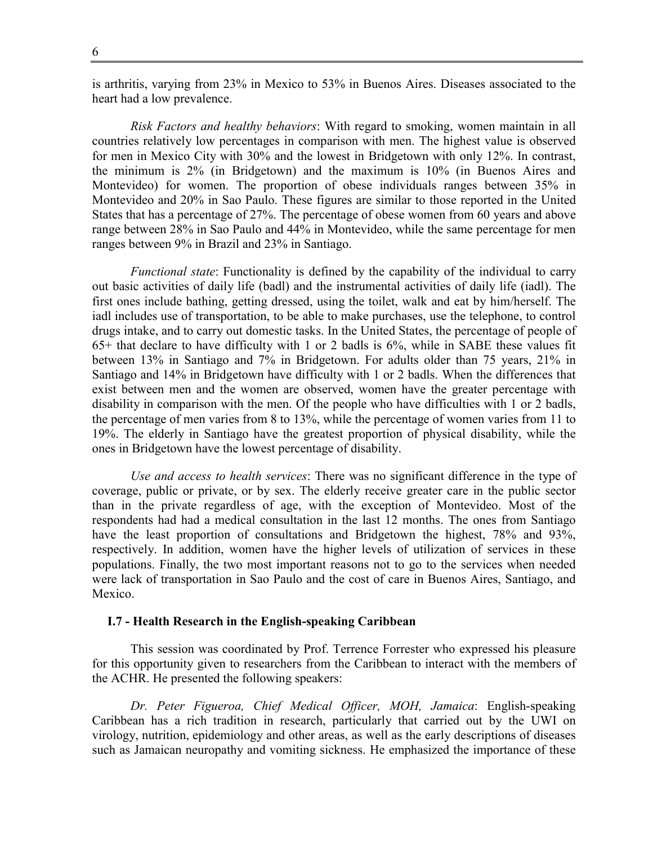is arthritis, varying from 23% in Mexico to 53% in Buenos Aires. Diseases associated to the heart had a low prevalence.

*Risk Factors and healthy behaviors*: With regard to smoking, women maintain in all countries relatively low percentages in comparison with men. The highest value is observed for men in Mexico City with 30% and the lowest in Bridgetown with only 12%. In contrast, the minimum is 2% (in Bridgetown) and the maximum is 10% (in Buenos Aires and Montevideo) for women. The proportion of obese individuals ranges between 35% in Montevideo and 20% in Sao Paulo. These figures are similar to those reported in the United States that has a percentage of 27%. The percentage of obese women from 60 years and above range between 28% in Sao Paulo and 44% in Montevideo, while the same percentage for men ranges between 9% in Brazil and 23% in Santiago.

*Functional state*: Functionality is defined by the capability of the individual to carry out basic activities of daily life (badl) and the instrumental activities of daily life (iadl). The first ones include bathing, getting dressed, using the toilet, walk and eat by him/herself. The iadl includes use of transportation, to be able to make purchases, use the telephone, to control drugs intake, and to carry out domestic tasks. In the United States, the percentage of people of 65+ that declare to have difficulty with 1 or 2 badls is 6%, while in SABE these values fit between 13% in Santiago and 7% in Bridgetown. For adults older than 75 years, 21% in Santiago and 14% in Bridgetown have difficulty with 1 or 2 badls. When the differences that exist between men and the women are observed, women have the greater percentage with disability in comparison with the men. Of the people who have difficulties with 1 or 2 badls, the percentage of men varies from 8 to 13%, while the percentage of women varies from 11 to 19%. The elderly in Santiago have the greatest proportion of physical disability, while the ones in Bridgetown have the lowest percentage of disability.

*Use and access to health services*: There was no significant difference in the type of coverage, public or private, or by sex. The elderly receive greater care in the public sector than in the private regardless of age, with the exception of Montevideo. Most of the respondents had had a medical consultation in the last 12 months. The ones from Santiago have the least proportion of consultations and Bridgetown the highest, 78% and 93%, respectively. In addition, women have the higher levels of utilization of services in these populations. Finally, the two most important reasons not to go to the services when needed were lack of transportation in Sao Paulo and the cost of care in Buenos Aires, Santiago, and Mexico.

#### **I.7 - Health Research in the English-speaking Caribbean**

This session was coordinated by Prof. Terrence Forrester who expressed his pleasure for this opportunity given to researchers from the Caribbean to interact with the members of the ACHR. He presented the following speakers:

*Dr. Peter Figueroa, Chief Medical Officer, MOH, Jamaica*: English-speaking Caribbean has a rich tradition in research, particularly that carried out by the UWI on virology, nutrition, epidemiology and other areas, as well as the early descriptions of diseases such as Jamaican neuropathy and vomiting sickness. He emphasized the importance of these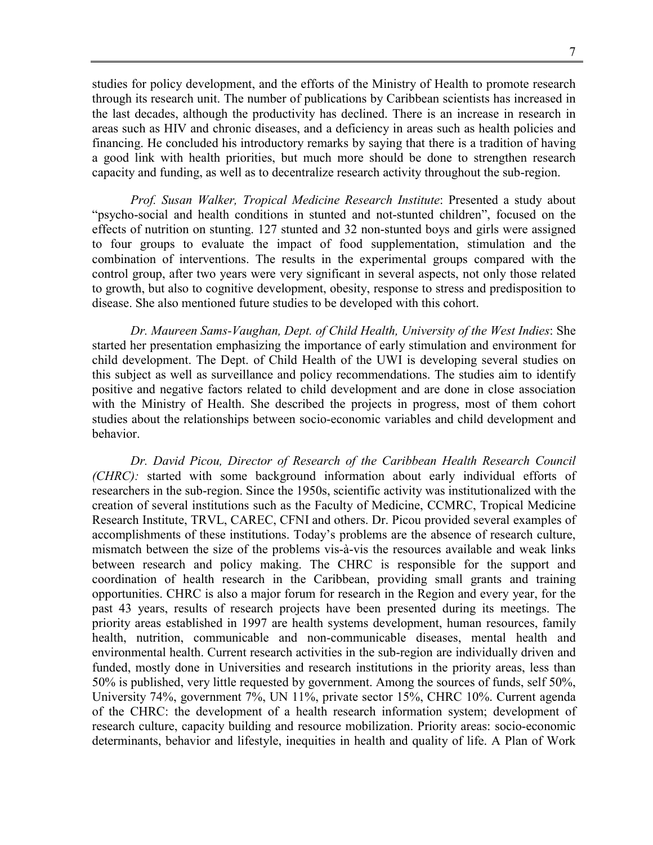7

studies for policy development, and the efforts of the Ministry of Health to promote research through its research unit. The number of publications by Caribbean scientists has increased in the last decades, although the productivity has declined. There is an increase in research in areas such as HIV and chronic diseases, and a deficiency in areas such as health policies and financing. He concluded his introductory remarks by saying that there is a tradition of having a good link with health priorities, but much more should be done to strengthen research capacity and funding, as well as to decentralize research activity throughout the sub-region.

*Prof. Susan Walker, Tropical Medicine Research Institute*: Presented a study about "psycho-social and health conditions in stunted and not-stunted children", focused on the effects of nutrition on stunting. 127 stunted and 32 non-stunted boys and girls were assigned to four groups to evaluate the impact of food supplementation, stimulation and the combination of interventions. The results in the experimental groups compared with the control group, after two years were very significant in several aspects, not only those related to growth, but also to cognitive development, obesity, response to stress and predisposition to disease. She also mentioned future studies to be developed with this cohort.

*Dr. Maureen Sams-Vaughan, Dept. of Child Health, University of the West Indies*: She started her presentation emphasizing the importance of early stimulation and environment for child development. The Dept. of Child Health of the UWI is developing several studies on this subject as well as surveillance and policy recommendations. The studies aim to identify positive and negative factors related to child development and are done in close association with the Ministry of Health. She described the projects in progress, most of them cohort studies about the relationships between socio-economic variables and child development and behavior.

*Dr. David Picou, Director of Research of the Caribbean Health Research Council (CHRC):* started with some background information about early individual efforts of researchers in the sub-region. Since the 1950s, scientific activity was institutionalized with the creation of several institutions such as the Faculty of Medicine, CCMRC, Tropical Medicine Research Institute, TRVL, CAREC, CFNI and others. Dr. Picou provided several examples of accomplishments of these institutions. Today's problems are the absence of research culture, mismatch between the size of the problems vis-à-vis the resources available and weak links between research and policy making. The CHRC is responsible for the support and coordination of health research in the Caribbean, providing small grants and training opportunities. CHRC is also a major forum for research in the Region and every year, for the past 43 years, results of research projects have been presented during its meetings. The priority areas established in 1997 are health systems development, human resources, family health, nutrition, communicable and non-communicable diseases, mental health and environmental health. Current research activities in the sub-region are individually driven and funded, mostly done in Universities and research institutions in the priority areas, less than 50% is published, very little requested by government. Among the sources of funds, self 50%, University 74%, government 7%, UN 11%, private sector 15%, CHRC 10%. Current agenda of the CHRC: the development of a health research information system; development of research culture, capacity building and resource mobilization. Priority areas: socio-economic determinants, behavior and lifestyle, inequities in health and quality of life. A Plan of Work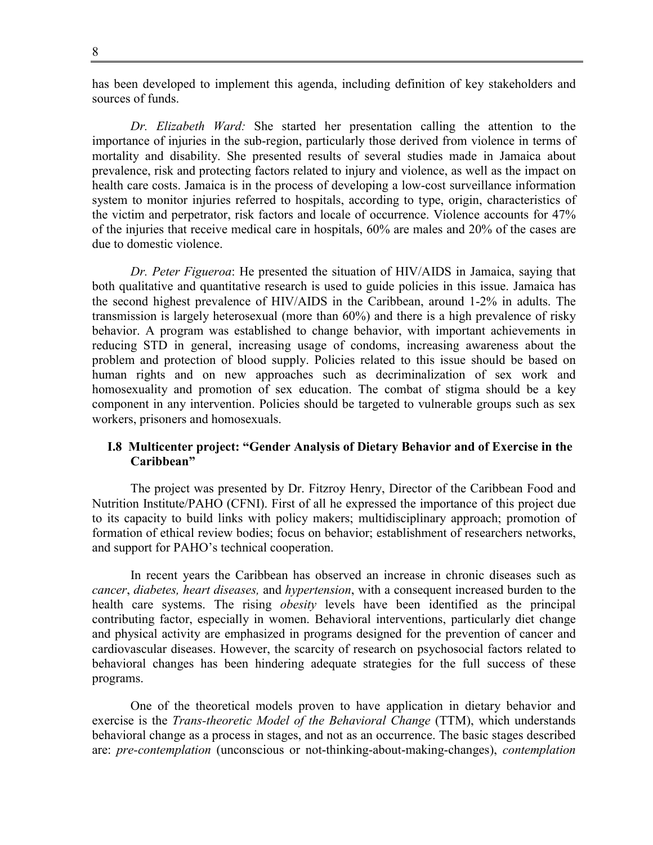has been developed to implement this agenda, including definition of key stakeholders and sources of funds.

*Dr. Elizabeth Ward:* She started her presentation calling the attention to the importance of injuries in the sub-region, particularly those derived from violence in terms of mortality and disability. She presented results of several studies made in Jamaica about prevalence, risk and protecting factors related to injury and violence, as well as the impact on health care costs. Jamaica is in the process of developing a low-cost surveillance information system to monitor injuries referred to hospitals, according to type, origin, characteristics of the victim and perpetrator, risk factors and locale of occurrence. Violence accounts for 47% of the injuries that receive medical care in hospitals, 60% are males and 20% of the cases are due to domestic violence.

*Dr. Peter Figueroa*: He presented the situation of HIV/AIDS in Jamaica, saying that both qualitative and quantitative research is used to guide policies in this issue. Jamaica has the second highest prevalence of HIV/AIDS in the Caribbean, around 1-2% in adults. The transmission is largely heterosexual (more than 60%) and there is a high prevalence of risky behavior. A program was established to change behavior, with important achievements in reducing STD in general, increasing usage of condoms, increasing awareness about the problem and protection of blood supply. Policies related to this issue should be based on human rights and on new approaches such as decriminalization of sex work and homosexuality and promotion of sex education. The combat of stigma should be a key component in any intervention. Policies should be targeted to vulnerable groups such as sex workers, prisoners and homosexuals.

## **I.8 Multicenter project: "Gender Analysis of Dietary Behavior and of Exercise in the Caribbean"**

The project was presented by Dr. Fitzroy Henry, Director of the Caribbean Food and Nutrition Institute/PAHO (CFNI). First of all he expressed the importance of this project due to its capacity to build links with policy makers; multidisciplinary approach; promotion of formation of ethical review bodies; focus on behavior; establishment of researchers networks, and support for PAHO's technical cooperation.

In recent years the Caribbean has observed an increase in chronic diseases such as *cancer*, *diabetes, heart diseases,* and *hypertension*, with a consequent increased burden to the health care systems. The rising *obesity* levels have been identified as the principal contributing factor, especially in women. Behavioral interventions, particularly diet change and physical activity are emphasized in programs designed for the prevention of cancer and cardiovascular diseases. However, the scarcity of research on psychosocial factors related to behavioral changes has been hindering adequate strategies for the full success of these programs.

One of the theoretical models proven to have application in dietary behavior and exercise is the *Trans-theoretic Model of the Behavioral Change* (TTM), which understands behavioral change as a process in stages, and not as an occurrence. The basic stages described are: *pre-contemplation* (unconscious or not-thinking-about-making-changes), *contemplation*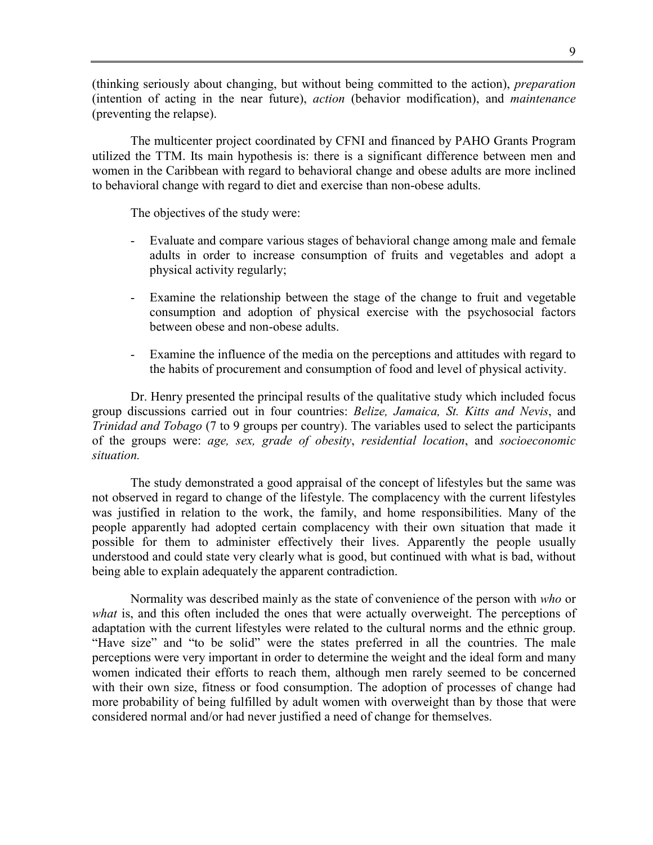(thinking seriously about changing, but without being committed to the action), *preparation* (intention of acting in the near future), *action* (behavior modification), and *maintenance* (preventing the relapse).

The multicenter project coordinated by CFNI and financed by PAHO Grants Program utilized the TTM. Its main hypothesis is: there is a significant difference between men and women in the Caribbean with regard to behavioral change and obese adults are more inclined to behavioral change with regard to diet and exercise than non-obese adults.

The objectives of the study were:

- Evaluate and compare various stages of behavioral change among male and female adults in order to increase consumption of fruits and vegetables and adopt a physical activity regularly;
- Examine the relationship between the stage of the change to fruit and vegetable consumption and adoption of physical exercise with the psychosocial factors between obese and non-obese adults.
- Examine the influence of the media on the perceptions and attitudes with regard to the habits of procurement and consumption of food and level of physical activity.

Dr. Henry presented the principal results of the qualitative study which included focus group discussions carried out in four countries: *Belize, Jamaica, St. Kitts and Nevis*, and *Trinidad and Tobago* (7 to 9 groups per country). The variables used to select the participants of the groups were: *age, sex, grade of obesity*, *residential location*, and *socioeconomic situation.*

The study demonstrated a good appraisal of the concept of lifestyles but the same was not observed in regard to change of the lifestyle. The complacency with the current lifestyles was justified in relation to the work, the family, and home responsibilities. Many of the people apparently had adopted certain complacency with their own situation that made it possible for them to administer effectively their lives. Apparently the people usually understood and could state very clearly what is good, but continued with what is bad, without being able to explain adequately the apparent contradiction.

Normality was described mainly as the state of convenience of the person with *who* or *what* is, and this often included the ones that were actually overweight. The perceptions of adaptation with the current lifestyles were related to the cultural norms and the ethnic group. "Have size" and "to be solid" were the states preferred in all the countries. The male perceptions were very important in order to determine the weight and the ideal form and many women indicated their efforts to reach them, although men rarely seemed to be concerned with their own size, fitness or food consumption. The adoption of processes of change had more probability of being fulfilled by adult women with overweight than by those that were considered normal and/or had never justified a need of change for themselves.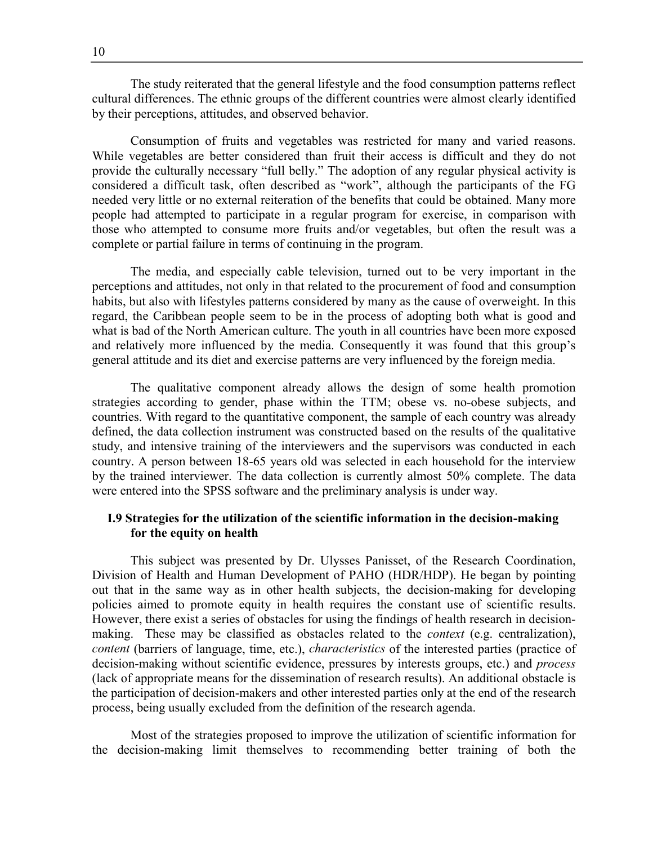The study reiterated that the general lifestyle and the food consumption patterns reflect cultural differences. The ethnic groups of the different countries were almost clearly identified by their perceptions, attitudes, and observed behavior.

Consumption of fruits and vegetables was restricted for many and varied reasons. While vegetables are better considered than fruit their access is difficult and they do not provide the culturally necessary "full belly." The adoption of any regular physical activity is considered a difficult task, often described as "work", although the participants of the FG needed very little or no external reiteration of the benefits that could be obtained. Many more people had attempted to participate in a regular program for exercise, in comparison with those who attempted to consume more fruits and/or vegetables, but often the result was a complete or partial failure in terms of continuing in the program.

The media, and especially cable television, turned out to be very important in the perceptions and attitudes, not only in that related to the procurement of food and consumption habits, but also with lifestyles patterns considered by many as the cause of overweight. In this regard, the Caribbean people seem to be in the process of adopting both what is good and what is bad of the North American culture. The youth in all countries have been more exposed and relatively more influenced by the media. Consequently it was found that this group's general attitude and its diet and exercise patterns are very influenced by the foreign media.

The qualitative component already allows the design of some health promotion strategies according to gender, phase within the TTM; obese vs. no-obese subjects, and countries. With regard to the quantitative component, the sample of each country was already defined, the data collection instrument was constructed based on the results of the qualitative study, and intensive training of the interviewers and the supervisors was conducted in each country. A person between 18-65 years old was selected in each household for the interview by the trained interviewer. The data collection is currently almost 50% complete. The data were entered into the SPSS software and the preliminary analysis is under way.

## **I.9 Strategies for the utilization of the scientific information in the decision-making for the equity on health**

This subject was presented by Dr. Ulysses Panisset, of the Research Coordination, Division of Health and Human Development of PAHO (HDR/HDP). He began by pointing out that in the same way as in other health subjects, the decision-making for developing policies aimed to promote equity in health requires the constant use of scientific results. However, there exist a series of obstacles for using the findings of health research in decisionmaking. These may be classified as obstacles related to the *context* (e.g. centralization), *content* (barriers of language, time, etc.), *characteristics* of the interested parties (practice of decision-making without scientific evidence, pressures by interests groups, etc.) and *process* (lack of appropriate means for the dissemination of research results). An additional obstacle is the participation of decision-makers and other interested parties only at the end of the research process, being usually excluded from the definition of the research agenda.

Most of the strategies proposed to improve the utilization of scientific information for the decision-making limit themselves to recommending better training of both the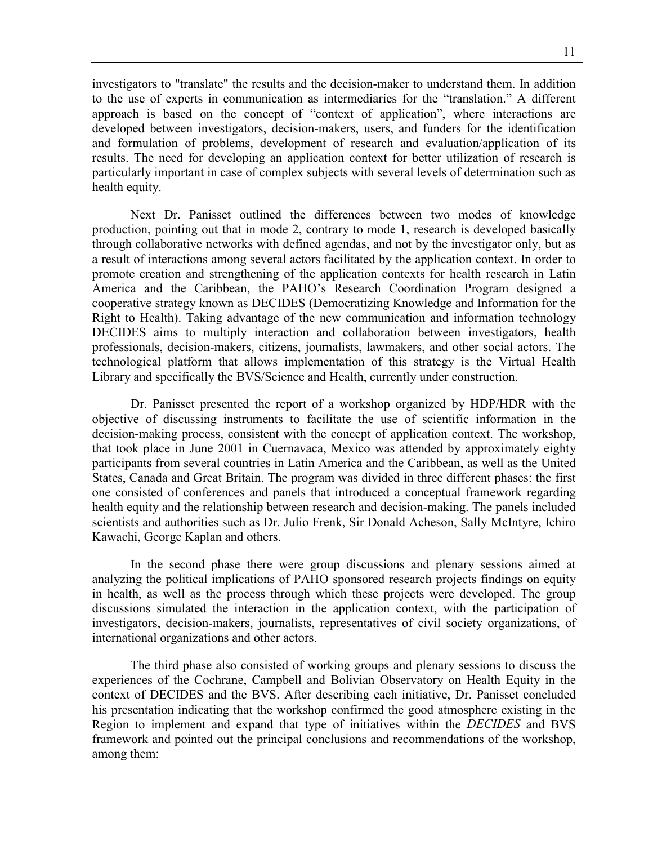investigators to "translate" the results and the decision-maker to understand them. In addition to the use of experts in communication as intermediaries for the "translation." A different approach is based on the concept of "context of application", where interactions are developed between investigators, decision-makers, users, and funders for the identification and formulation of problems, development of research and evaluation/application of its results. The need for developing an application context for better utilization of research is particularly important in case of complex subjects with several levels of determination such as health equity.

Next Dr. Panisset outlined the differences between two modes of knowledge production, pointing out that in mode 2, contrary to mode 1, research is developed basically through collaborative networks with defined agendas, and not by the investigator only, but as a result of interactions among several actors facilitated by the application context. In order to promote creation and strengthening of the application contexts for health research in Latin America and the Caribbean, the PAHO's Research Coordination Program designed a cooperative strategy known as DECIDES (Democratizing Knowledge and Information for the Right to Health). Taking advantage of the new communication and information technology DECIDES aims to multiply interaction and collaboration between investigators, health professionals, decision-makers, citizens, journalists, lawmakers, and other social actors. The technological platform that allows implementation of this strategy is the Virtual Health Library and specifically the BVS/Science and Health, currently under construction.

Dr. Panisset presented the report of a workshop organized by HDP/HDR with the objective of discussing instruments to facilitate the use of scientific information in the decision-making process, consistent with the concept of application context. The workshop, that took place in June 2001 in Cuernavaca, Mexico was attended by approximately eighty participants from several countries in Latin America and the Caribbean, as well as the United States, Canada and Great Britain. The program was divided in three different phases: the first one consisted of conferences and panels that introduced a conceptual framework regarding health equity and the relationship between research and decision-making. The panels included scientists and authorities such as Dr. Julio Frenk, Sir Donald Acheson, Sally McIntyre, Ichiro Kawachi, George Kaplan and others.

In the second phase there were group discussions and plenary sessions aimed at analyzing the political implications of PAHO sponsored research projects findings on equity in health, as well as the process through which these projects were developed. The group discussions simulated the interaction in the application context, with the participation of investigators, decision-makers, journalists, representatives of civil society organizations, of international organizations and other actors.

The third phase also consisted of working groups and plenary sessions to discuss the experiences of the Cochrane, Campbell and Bolivian Observatory on Health Equity in the context of DECIDES and the BVS. After describing each initiative, Dr. Panisset concluded his presentation indicating that the workshop confirmed the good atmosphere existing in the Region to implement and expand that type of initiatives within the *DECIDES* and BVS framework and pointed out the principal conclusions and recommendations of the workshop, among them: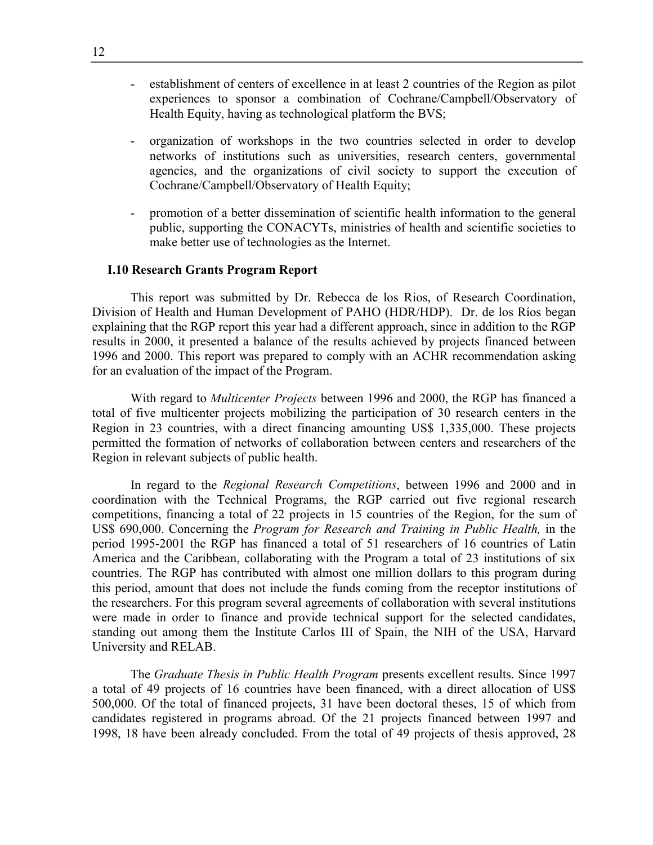- establishment of centers of excellence in at least 2 countries of the Region as pilot experiences to sponsor a combination of Cochrane/Campbell/Observatory of Health Equity, having as technological platform the BVS;
- organization of workshops in the two countries selected in order to develop networks of institutions such as universities, research centers, governmental agencies, and the organizations of civil society to support the execution of Cochrane/Campbell/Observatory of Health Equity;
- promotion of a better dissemination of scientific health information to the general public, supporting the CONACYTs, ministries of health and scientific societies to make better use of technologies as the Internet.

#### **I.10 Research Grants Program Report**

This report was submitted by Dr. Rebecca de los Rios, of Research Coordination, Division of Health and Human Development of PAHO (HDR/HDP). Dr. de los Ríos began explaining that the RGP report this year had a different approach, since in addition to the RGP results in 2000, it presented a balance of the results achieved by projects financed between 1996 and 2000. This report was prepared to comply with an ACHR recommendation asking for an evaluation of the impact of the Program.

With regard to *Multicenter Projects* between 1996 and 2000, the RGP has financed a total of five multicenter projects mobilizing the participation of 30 research centers in the Region in 23 countries, with a direct financing amounting US\$ 1,335,000. These projects permitted the formation of networks of collaboration between centers and researchers of the Region in relevant subjects of public health.

In regard to the *Regional Research Competitions*, between 1996 and 2000 and in coordination with the Technical Programs, the RGP carried out five regional research competitions, financing a total of 22 projects in 15 countries of the Region, for the sum of US\$ 690,000. Concerning the *Program for Research and Training in Public Health,* in the period 1995-2001 the RGP has financed a total of 51 researchers of 16 countries of Latin America and the Caribbean, collaborating with the Program a total of 23 institutions of six countries. The RGP has contributed with almost one million dollars to this program during this period, amount that does not include the funds coming from the receptor institutions of the researchers. For this program several agreements of collaboration with several institutions were made in order to finance and provide technical support for the selected candidates, standing out among them the Institute Carlos III of Spain, the NIH of the USA, Harvard University and RELAB.

The *Graduate Thesis in Public Health Program* presents excellent results. Since 1997 a total of 49 projects of 16 countries have been financed, with a direct allocation of US\$ 500,000. Of the total of financed projects, 31 have been doctoral theses, 15 of which from candidates registered in programs abroad. Of the 21 projects financed between 1997 and 1998, 18 have been already concluded. From the total of 49 projects of thesis approved, 28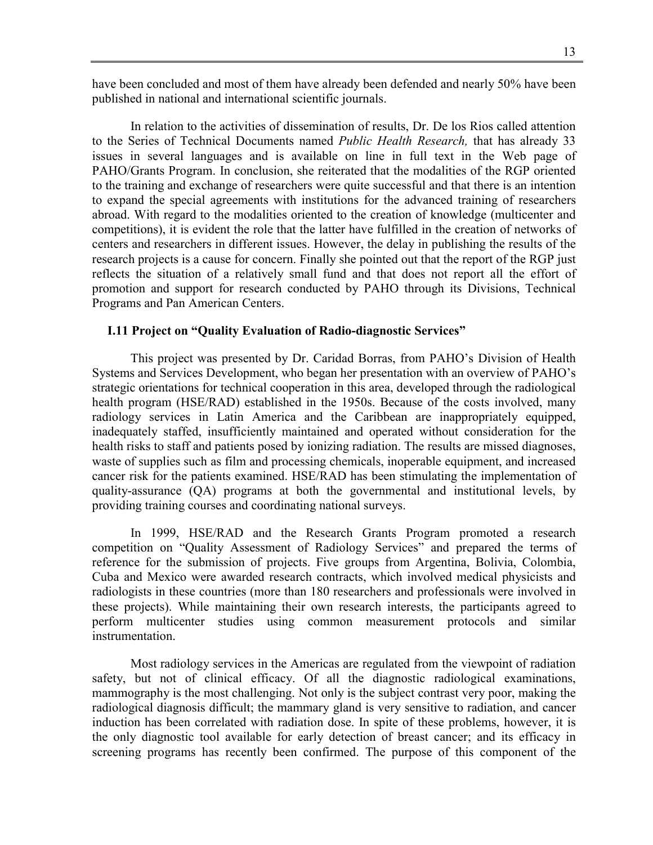have been concluded and most of them have already been defended and nearly 50% have been published in national and international scientific journals.

In relation to the activities of dissemination of results, Dr. De los Rios called attention to the Series of Technical Documents named *Public Health Research,* that has already 33 issues in several languages and is available on line in full text in the Web page of PAHO/Grants Program. In conclusion, she reiterated that the modalities of the RGP oriented to the training and exchange of researchers were quite successful and that there is an intention to expand the special agreements with institutions for the advanced training of researchers abroad. With regard to the modalities oriented to the creation of knowledge (multicenter and competitions), it is evident the role that the latter have fulfilled in the creation of networks of centers and researchers in different issues. However, the delay in publishing the results of the research projects is a cause for concern. Finally she pointed out that the report of the RGP just reflects the situation of a relatively small fund and that does not report all the effort of promotion and support for research conducted by PAHO through its Divisions, Technical Programs and Pan American Centers.

## **I.11 Project on "Quality Evaluation of Radio-diagnostic Services"**

This project was presented by Dr. Caridad Borras, from PAHO's Division of Health Systems and Services Development, who began her presentation with an overview of PAHO's strategic orientations for technical cooperation in this area, developed through the radiological health program (HSE/RAD) established in the 1950s. Because of the costs involved, many radiology services in Latin America and the Caribbean are inappropriately equipped, inadequately staffed, insufficiently maintained and operated without consideration for the health risks to staff and patients posed by ionizing radiation. The results are missed diagnoses, waste of supplies such as film and processing chemicals, inoperable equipment, and increased cancer risk for the patients examined. HSE/RAD has been stimulating the implementation of quality-assurance (QA) programs at both the governmental and institutional levels, by providing training courses and coordinating national surveys.

In 1999, HSE/RAD and the Research Grants Program promoted a research competition on "Quality Assessment of Radiology Services" and prepared the terms of reference for the submission of projects. Five groups from Argentina, Bolivia, Colombia, Cuba and Mexico were awarded research contracts, which involved medical physicists and radiologists in these countries (more than 180 researchers and professionals were involved in these projects). While maintaining their own research interests, the participants agreed to perform multicenter studies using common measurement protocols and similar instrumentation.

Most radiology services in the Americas are regulated from the viewpoint of radiation safety, but not of clinical efficacy. Of all the diagnostic radiological examinations, mammography is the most challenging. Not only is the subject contrast very poor, making the radiological diagnosis difficult; the mammary gland is very sensitive to radiation, and cancer induction has been correlated with radiation dose. In spite of these problems, however, it is the only diagnostic tool available for early detection of breast cancer; and its efficacy in screening programs has recently been confirmed. The purpose of this component of the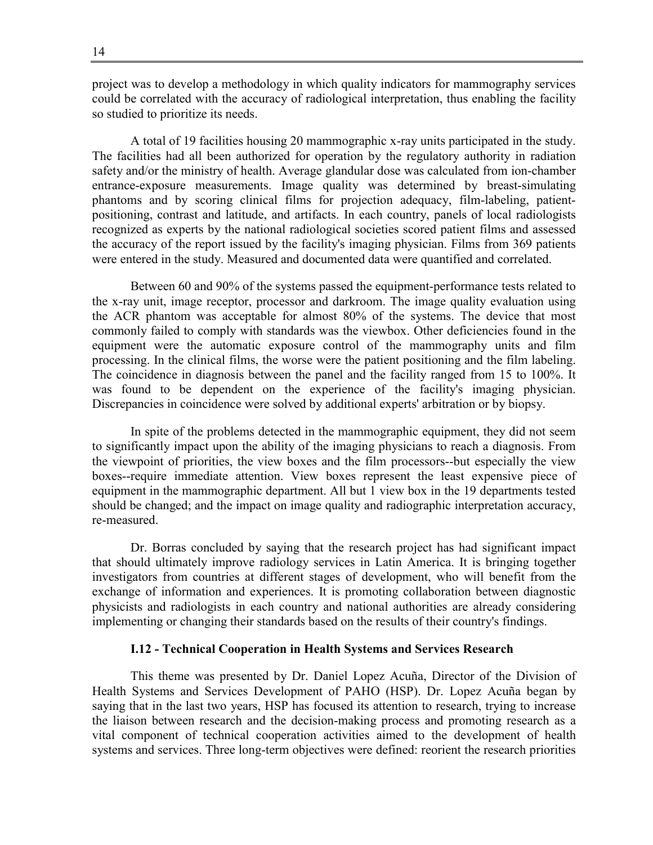project was to develop a methodology in which quality indicators for mammography services could be correlated with the accuracy of radiological interpretation, thus enabling the facility so studied to prioritize its needs.

A total of 19 facilities housing 20 mammographic x-ray units participated in the study. The facilities had all been authorized for operation by the regulatory authority in radiation safety and/or the ministry of health. Average glandular dose was calculated from ion-chamber entrance-exposure measurements. Image quality was determined by breast-simulating phantoms and by scoring clinical films for projection adequacy, film-labeling, patientpositioning, contrast and latitude, and artifacts. In each country, panels of local radiologists recognized as experts by the national radiological societies scored patient films and assessed the accuracy of the report issued by the facility's imaging physician. Films from 369 patients were entered in the study. Measured and documented data were quantified and correlated.

Between 60 and 90% of the systems passed the equipment-performance tests related to the x-ray unit, image receptor, processor and darkroom. The image quality evaluation using the ACR phantom was acceptable for almost 80% of the systems. The device that most commonly failed to comply with standards was the viewbox. Other deficiencies found in the equipment were the automatic exposure control of the mammography units and film processing. In the clinical films, the worse were the patient positioning and the film labeling. The coincidence in diagnosis between the panel and the facility ranged from 15 to 100%. It was found to be dependent on the experience of the facility's imaging physician. Discrepancies in coincidence were solved by additional experts' arbitration or by biopsy.

In spite of the problems detected in the mammographic equipment, they did not seem to significantly impact upon the ability of the imaging physicians to reach a diagnosis. From the viewpoint of priorities, the view boxes and the film processors--but especially the view boxes--require immediate attention. View boxes represent the least expensive piece of equipment in the mammographic department. All but 1 view box in the 19 departments tested should be changed; and the impact on image quality and radiographic interpretation accuracy, re-measured.

Dr. Borras concluded by saying that the research project has had significant impact that should ultimately improve radiology services in Latin America. It is bringing together investigators from countries at different stages of development, who will benefit from the exchange of information and experiences. It is promoting collaboration between diagnostic physicists and radiologists in each country and national authorities are already considering implementing or changing their standards based on the results of their country's findings.

#### **I.12 - Technical Cooperation in Health Systems and Services Research**

This theme was presented by Dr. Daniel Lopez Acuña, Director of the Division of Health Systems and Services Development of PAHO (HSP). Dr. Lopez Acuña began by saying that in the last two years, HSP has focused its attention to research, trying to increase the liaison between research and the decision-making process and promoting research as a vital component of technical cooperation activities aimed to the development of health systems and services. Three long-term objectives were defined: reorient the research priorities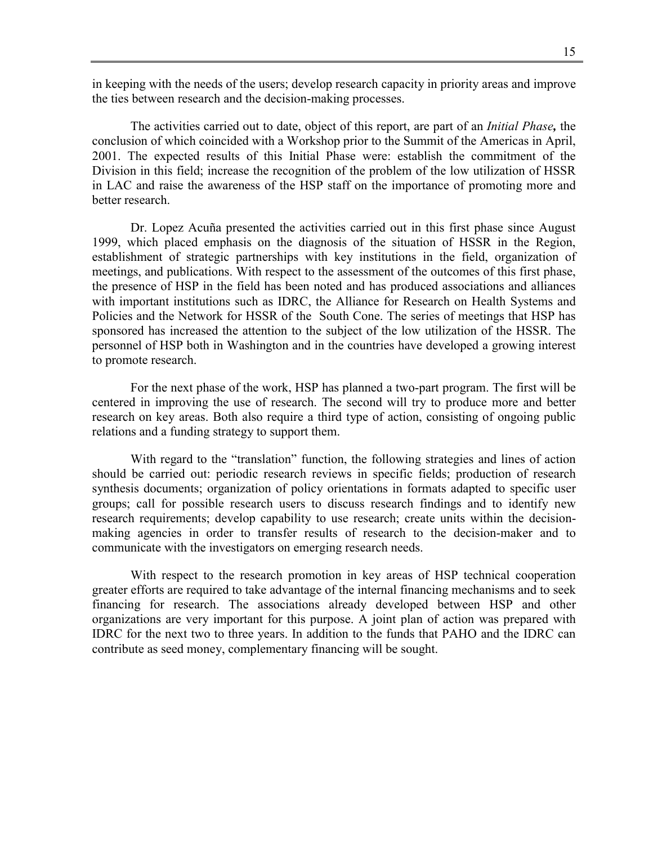in keeping with the needs of the users; develop research capacity in priority areas and improve the ties between research and the decision-making processes.

The activities carried out to date, object of this report, are part of an *Initial Phase,* the conclusion of which coincided with a Workshop prior to the Summit of the Americas in April, 2001. The expected results of this Initial Phase were: establish the commitment of the Division in this field; increase the recognition of the problem of the low utilization of HSSR in LAC and raise the awareness of the HSP staff on the importance of promoting more and better research.

Dr. Lopez Acuña presented the activities carried out in this first phase since August 1999, which placed emphasis on the diagnosis of the situation of HSSR in the Region, establishment of strategic partnerships with key institutions in the field, organization of meetings, and publications. With respect to the assessment of the outcomes of this first phase, the presence of HSP in the field has been noted and has produced associations and alliances with important institutions such as IDRC, the Alliance for Research on Health Systems and Policies and the Network for HSSR of the South Cone. The series of meetings that HSP has sponsored has increased the attention to the subject of the low utilization of the HSSR. The personnel of HSP both in Washington and in the countries have developed a growing interest to promote research.

For the next phase of the work, HSP has planned a two-part program. The first will be centered in improving the use of research. The second will try to produce more and better research on key areas. Both also require a third type of action, consisting of ongoing public relations and a funding strategy to support them.

With regard to the "translation" function, the following strategies and lines of action should be carried out: periodic research reviews in specific fields; production of research synthesis documents; organization of policy orientations in formats adapted to specific user groups; call for possible research users to discuss research findings and to identify new research requirements; develop capability to use research; create units within the decisionmaking agencies in order to transfer results of research to the decision-maker and to communicate with the investigators on emerging research needs.

With respect to the research promotion in key areas of HSP technical cooperation greater efforts are required to take advantage of the internal financing mechanisms and to seek financing for research. The associations already developed between HSP and other organizations are very important for this purpose. A joint plan of action was prepared with IDRC for the next two to three years. In addition to the funds that PAHO and the IDRC can contribute as seed money, complementary financing will be sought.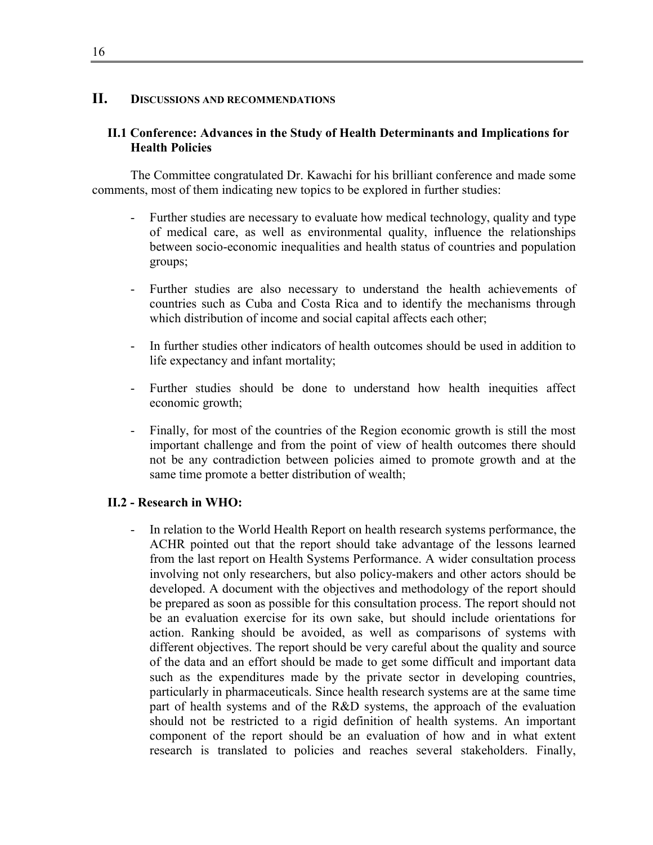## **II. DISCUSSIONS AND RECOMMENDATIONS**

## **II.1 Conference: Advances in the Study of Health Determinants and Implications for Health Policies**

The Committee congratulated Dr. Kawachi for his brilliant conference and made some comments, most of them indicating new topics to be explored in further studies:

- Further studies are necessary to evaluate how medical technology, quality and type of medical care, as well as environmental quality, influence the relationships between socio-economic inequalities and health status of countries and population groups;
- Further studies are also necessary to understand the health achievements of countries such as Cuba and Costa Rica and to identify the mechanisms through which distribution of income and social capital affects each other;
- In further studies other indicators of health outcomes should be used in addition to life expectancy and infant mortality;
- Further studies should be done to understand how health inequities affect economic growth;
- Finally, for most of the countries of the Region economic growth is still the most important challenge and from the point of view of health outcomes there should not be any contradiction between policies aimed to promote growth and at the same time promote a better distribution of wealth;

#### **II.2 - Research in WHO:**

- In relation to the World Health Report on health research systems performance, the ACHR pointed out that the report should take advantage of the lessons learned from the last report on Health Systems Performance. A wider consultation process involving not only researchers, but also policy-makers and other actors should be developed. A document with the objectives and methodology of the report should be prepared as soon as possible for this consultation process. The report should not be an evaluation exercise for its own sake, but should include orientations for action. Ranking should be avoided, as well as comparisons of systems with different objectives. The report should be very careful about the quality and source of the data and an effort should be made to get some difficult and important data such as the expenditures made by the private sector in developing countries, particularly in pharmaceuticals. Since health research systems are at the same time part of health systems and of the R&D systems, the approach of the evaluation should not be restricted to a rigid definition of health systems. An important component of the report should be an evaluation of how and in what extent research is translated to policies and reaches several stakeholders. Finally,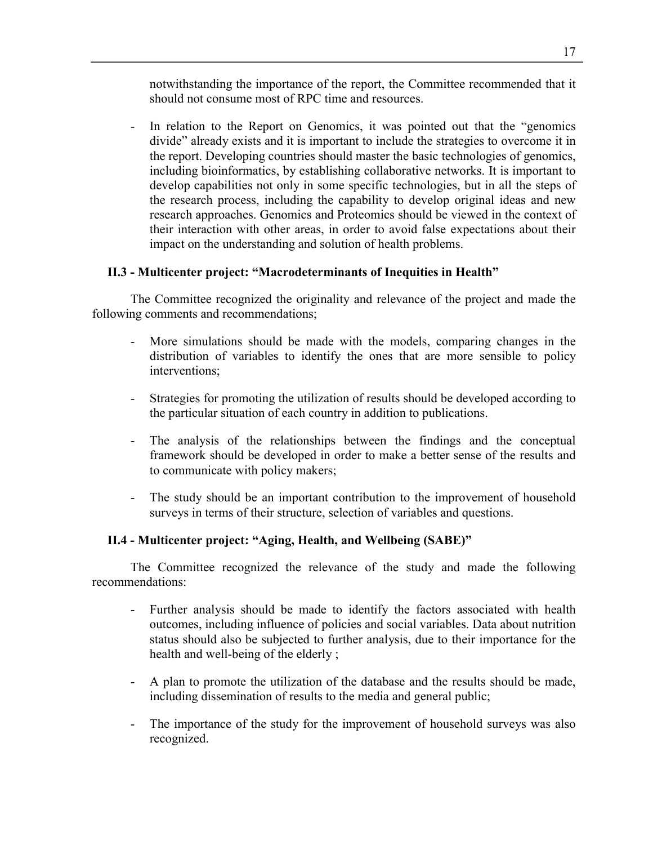notwithstanding the importance of the report, the Committee recommended that it should not consume most of RPC time and resources.

In relation to the Report on Genomics, it was pointed out that the "genomics" divide" already exists and it is important to include the strategies to overcome it in the report. Developing countries should master the basic technologies of genomics, including bioinformatics, by establishing collaborative networks. It is important to develop capabilities not only in some specific technologies, but in all the steps of the research process, including the capability to develop original ideas and new research approaches. Genomics and Proteomics should be viewed in the context of their interaction with other areas, in order to avoid false expectations about their impact on the understanding and solution of health problems.

## **II.3 - Multicenter project: "Macrodeterminants of Inequities in Health"**

The Committee recognized the originality and relevance of the project and made the following comments and recommendations;

- More simulations should be made with the models, comparing changes in the distribution of variables to identify the ones that are more sensible to policy interventions;
- Strategies for promoting the utilization of results should be developed according to the particular situation of each country in addition to publications.
- The analysis of the relationships between the findings and the conceptual framework should be developed in order to make a better sense of the results and to communicate with policy makers;
- The study should be an important contribution to the improvement of household surveys in terms of their structure, selection of variables and questions.

## **II.4 - Multicenter project: "Aging, Health, and Wellbeing (SABE)"**

The Committee recognized the relevance of the study and made the following recommendations:

- Further analysis should be made to identify the factors associated with health outcomes, including influence of policies and social variables. Data about nutrition status should also be subjected to further analysis, due to their importance for the health and well-being of the elderly ;
- A plan to promote the utilization of the database and the results should be made, including dissemination of results to the media and general public;
- The importance of the study for the improvement of household surveys was also recognized.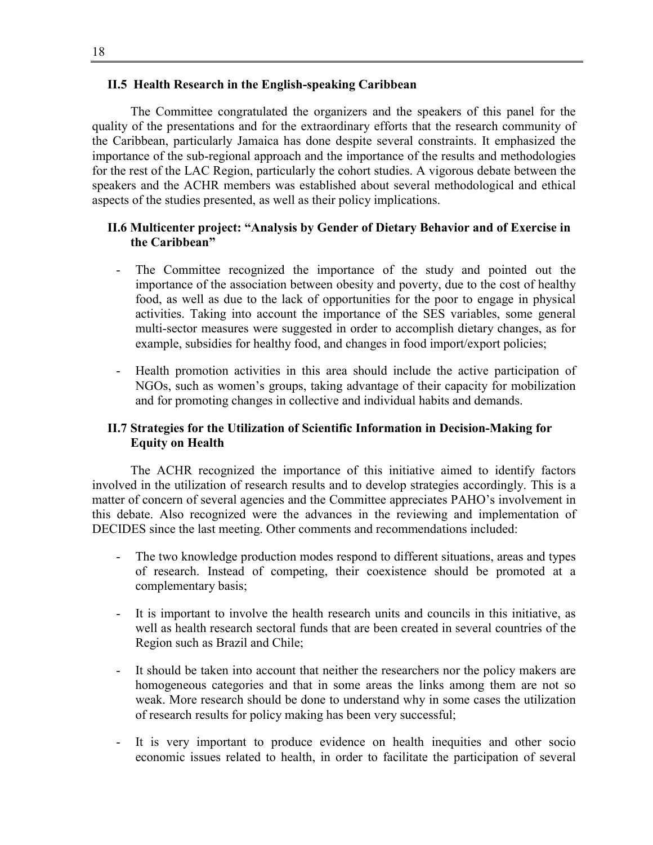## **II.5 Health Research in the English-speaking Caribbean**

The Committee congratulated the organizers and the speakers of this panel for the quality of the presentations and for the extraordinary efforts that the research community of the Caribbean, particularly Jamaica has done despite several constraints. It emphasized the importance of the sub-regional approach and the importance of the results and methodologies for the rest of the LAC Region, particularly the cohort studies. A vigorous debate between the speakers and the ACHR members was established about several methodological and ethical aspects of the studies presented, as well as their policy implications.

#### **II.6 Multicenter project: "Analysis by Gender of Dietary Behavior and of Exercise in the Caribbean"**

- The Committee recognized the importance of the study and pointed out the importance of the association between obesity and poverty, due to the cost of healthy food, as well as due to the lack of opportunities for the poor to engage in physical activities. Taking into account the importance of the SES variables, some general multi-sector measures were suggested in order to accomplish dietary changes, as for example, subsidies for healthy food, and changes in food import/export policies;
- Health promotion activities in this area should include the active participation of NGOs, such as women's groups, taking advantage of their capacity for mobilization and for promoting changes in collective and individual habits and demands.

## **II.7 Strategies for the Utilization of Scientific Information in Decision-Making for Equity on Health**

The ACHR recognized the importance of this initiative aimed to identify factors involved in the utilization of research results and to develop strategies accordingly. This is a matter of concern of several agencies and the Committee appreciates PAHO's involvement in this debate. Also recognized were the advances in the reviewing and implementation of DECIDES since the last meeting. Other comments and recommendations included:

- The two knowledge production modes respond to different situations, areas and types of research. Instead of competing, their coexistence should be promoted at a complementary basis;
- It is important to involve the health research units and councils in this initiative, as well as health research sectoral funds that are been created in several countries of the Region such as Brazil and Chile;
- It should be taken into account that neither the researchers nor the policy makers are homogeneous categories and that in some areas the links among them are not so weak. More research should be done to understand why in some cases the utilization of research results for policy making has been very successful;
- It is very important to produce evidence on health inequities and other socion economic issues related to health, in order to facilitate the participation of several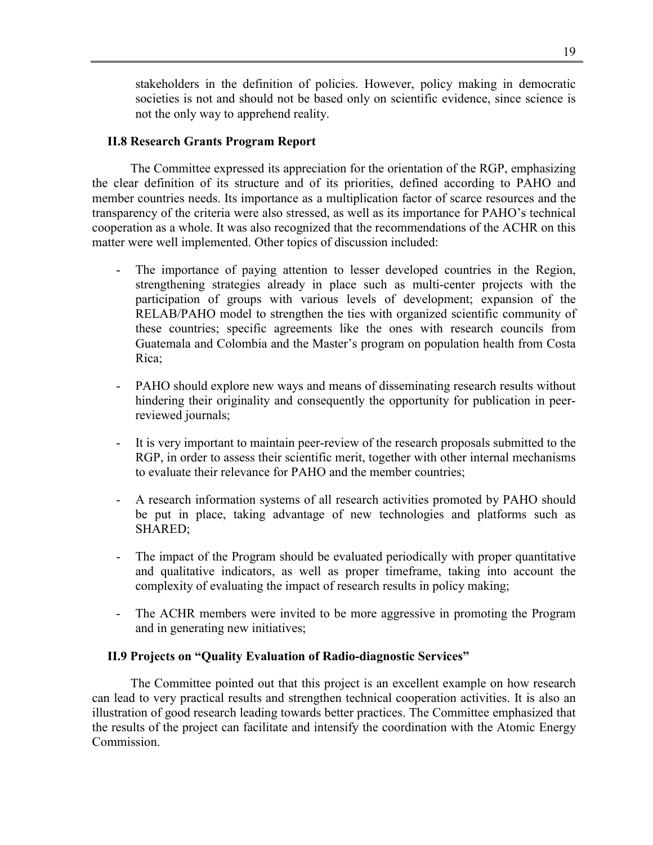stakeholders in the definition of policies. However, policy making in democratic societies is not and should not be based only on scientific evidence, since science is not the only way to apprehend reality.

## **II.8 Research Grants Program Report**

The Committee expressed its appreciation for the orientation of the RGP, emphasizing the clear definition of its structure and of its priorities, defined according to PAHO and member countries needs. Its importance as a multiplication factor of scarce resources and the transparency of the criteria were also stressed, as well as its importance for PAHO's technical cooperation as a whole. It was also recognized that the recommendations of the ACHR on this matter were well implemented. Other topics of discussion included:

- The importance of paying attention to lesser developed countries in the Region, strengthening strategies already in place such as multi-center projects with the participation of groups with various levels of development; expansion of the RELAB/PAHO model to strengthen the ties with organized scientific community of these countries; specific agreements like the ones with research councils from Guatemala and Colombia and the Master's program on population health from Costa Rica;
- PAHO should explore new ways and means of disseminating research results without hindering their originality and consequently the opportunity for publication in peerreviewed journals;
- It is very important to maintain peer-review of the research proposals submitted to the RGP, in order to assess their scientific merit, together with other internal mechanisms to evaluate their relevance for PAHO and the member countries;
- A research information systems of all research activities promoted by PAHO should be put in place, taking advantage of new technologies and platforms such as SHARED;
- The impact of the Program should be evaluated periodically with proper quantitative and qualitative indicators, as well as proper timeframe, taking into account the complexity of evaluating the impact of research results in policy making;
- The ACHR members were invited to be more aggressive in promoting the Program and in generating new initiatives;

## **II.9 Projects on "Quality Evaluation of Radio-diagnostic Services"**

The Committee pointed out that this project is an excellent example on how research can lead to very practical results and strengthen technical cooperation activities. It is also an illustration of good research leading towards better practices. The Committee emphasized that the results of the project can facilitate and intensify the coordination with the Atomic Energy **Commission**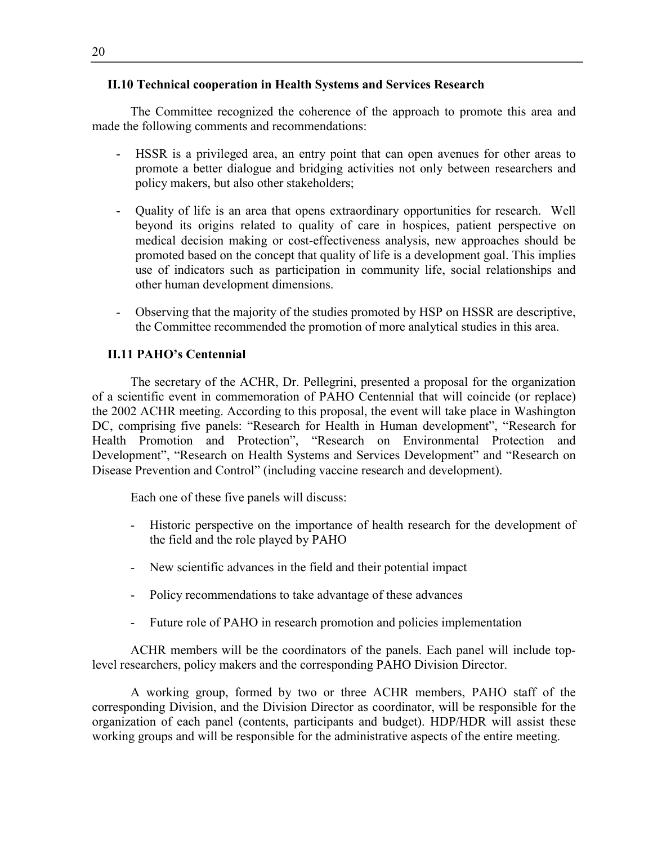#### **II.10 Technical cooperation in Health Systems and Services Research**

The Committee recognized the coherence of the approach to promote this area and made the following comments and recommendations:

- HSSR is a privileged area, an entry point that can open avenues for other areas to promote a better dialogue and bridging activities not only between researchers and policy makers, but also other stakeholders;
- Quality of life is an area that opens extraordinary opportunities for research. Well beyond its origins related to quality of care in hospices, patient perspective on medical decision making or cost-effectiveness analysis, new approaches should be promoted based on the concept that quality of life is a development goal. This implies use of indicators such as participation in community life, social relationships and other human development dimensions.
- Observing that the majority of the studies promoted by HSP on HSSR are descriptive, the Committee recommended the promotion of more analytical studies in this area.

## **II.11 PAHO's Centennial**

The secretary of the ACHR, Dr. Pellegrini, presented a proposal for the organization of a scientific event in commemoration of PAHO Centennial that will coincide (or replace) the 2002 ACHR meeting. According to this proposal, the event will take place in Washington DC, comprising five panels: "Research for Health in Human development", "Research for Health Promotion and Protection", "Research on Environmental Protection and Development", "Research on Health Systems and Services Development" and "Research on Disease Prevention and Control" (including vaccine research and development).

Each one of these five panels will discuss:

- Historic perspective on the importance of health research for the development of the field and the role played by PAHO
- New scientific advances in the field and their potential impact
- Policy recommendations to take advantage of these advances
- Future role of PAHO in research promotion and policies implementation

ACHR members will be the coordinators of the panels. Each panel will include toplevel researchers, policy makers and the corresponding PAHO Division Director.

A working group, formed by two or three ACHR members, PAHO staff of the corresponding Division, and the Division Director as coordinator, will be responsible for the organization of each panel (contents, participants and budget). HDP/HDR will assist these working groups and will be responsible for the administrative aspects of the entire meeting.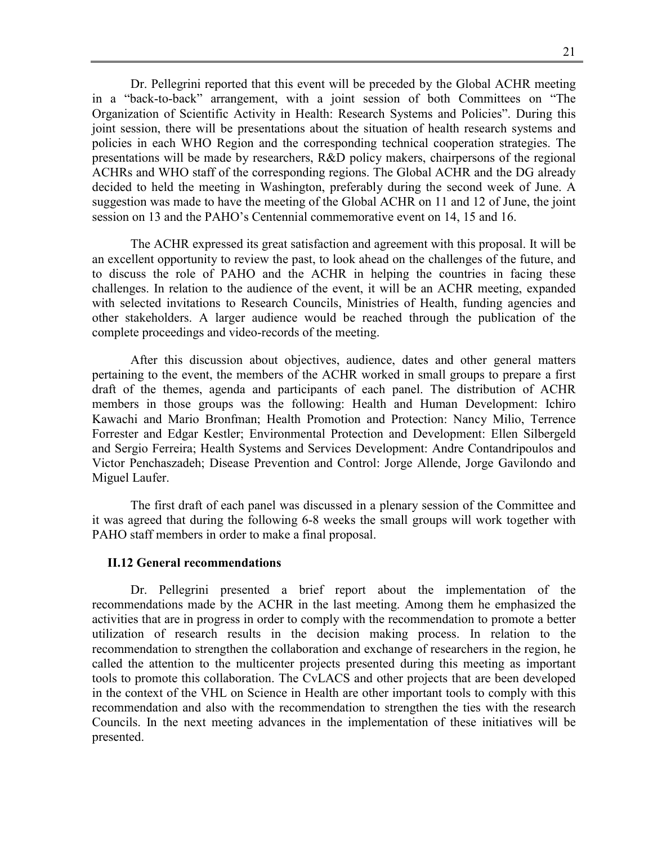Dr. Pellegrini reported that this event will be preceded by the Global ACHR meeting in a "back-to-back" arrangement, with a joint session of both Committees on "The Organization of Scientific Activity in Health: Research Systems and Policies". During this joint session, there will be presentations about the situation of health research systems and policies in each WHO Region and the corresponding technical cooperation strategies. The presentations will be made by researchers, R&D policy makers, chairpersons of the regional ACHRs and WHO staff of the corresponding regions. The Global ACHR and the DG already decided to held the meeting in Washington, preferably during the second week of June. A suggestion was made to have the meeting of the Global ACHR on 11 and 12 of June, the joint session on 13 and the PAHO's Centennial commemorative event on 14, 15 and 16.

The ACHR expressed its great satisfaction and agreement with this proposal. It will be an excellent opportunity to review the past, to look ahead on the challenges of the future, and to discuss the role of PAHO and the ACHR in helping the countries in facing these challenges. In relation to the audience of the event, it will be an ACHR meeting, expanded with selected invitations to Research Councils, Ministries of Health, funding agencies and other stakeholders. A larger audience would be reached through the publication of the complete proceedings and video-records of the meeting.

After this discussion about objectives, audience, dates and other general matters pertaining to the event, the members of the ACHR worked in small groups to prepare a first draft of the themes, agenda and participants of each panel. The distribution of ACHR members in those groups was the following: Health and Human Development: Ichiro Kawachi and Mario Bronfman; Health Promotion and Protection: Nancy Milio, Terrence Forrester and Edgar Kestler; Environmental Protection and Development: Ellen Silbergeld and Sergio Ferreira; Health Systems and Services Development: Andre Contandripoulos and Victor Penchaszadeh; Disease Prevention and Control: Jorge Allende, Jorge Gavilondo and Miguel Laufer.

The first draft of each panel was discussed in a plenary session of the Committee and it was agreed that during the following 6-8 weeks the small groups will work together with PAHO staff members in order to make a final proposal.

#### **II.12 General recommendations**

Dr. Pellegrini presented a brief report about the implementation of the recommendations made by the ACHR in the last meeting. Among them he emphasized the activities that are in progress in order to comply with the recommendation to promote a better utilization of research results in the decision making process. In relation to the recommendation to strengthen the collaboration and exchange of researchers in the region, he called the attention to the multicenter projects presented during this meeting as important tools to promote this collaboration. The CvLACS and other projects that are been developed in the context of the VHL on Science in Health are other important tools to comply with this recommendation and also with the recommendation to strengthen the ties with the research Councils. In the next meeting advances in the implementation of these initiatives will be presented.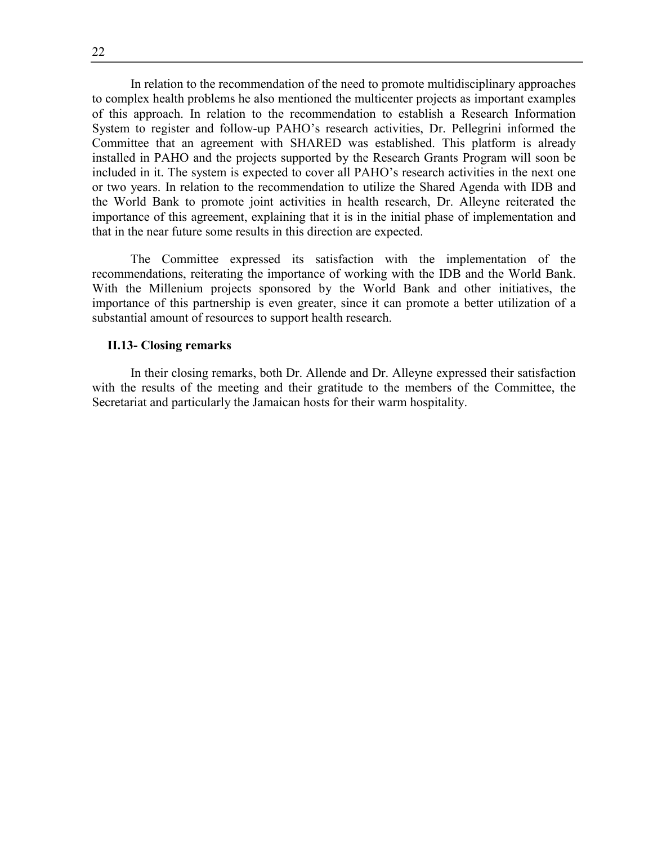22

In relation to the recommendation of the need to promote multidisciplinary approaches to complex health problems he also mentioned the multicenter projects as important examples of this approach. In relation to the recommendation to establish a Research Information System to register and follow-up PAHO's research activities, Dr. Pellegrini informed the Committee that an agreement with SHARED was established. This platform is already installed in PAHO and the projects supported by the Research Grants Program will soon be included in it. The system is expected to cover all PAHO's research activities in the next one or two years. In relation to the recommendation to utilize the Shared Agenda with IDB and the World Bank to promote joint activities in health research, Dr. Alleyne reiterated the importance of this agreement, explaining that it is in the initial phase of implementation and that in the near future some results in this direction are expected.

The Committee expressed its satisfaction with the implementation of the recommendations, reiterating the importance of working with the IDB and the World Bank. With the Millenium projects sponsored by the World Bank and other initiatives, the importance of this partnership is even greater, since it can promote a better utilization of a substantial amount of resources to support health research.

#### **II.13- Closing remarks**

In their closing remarks, both Dr. Allende and Dr. Alleyne expressed their satisfaction with the results of the meeting and their gratitude to the members of the Committee, the Secretariat and particularly the Jamaican hosts for their warm hospitality.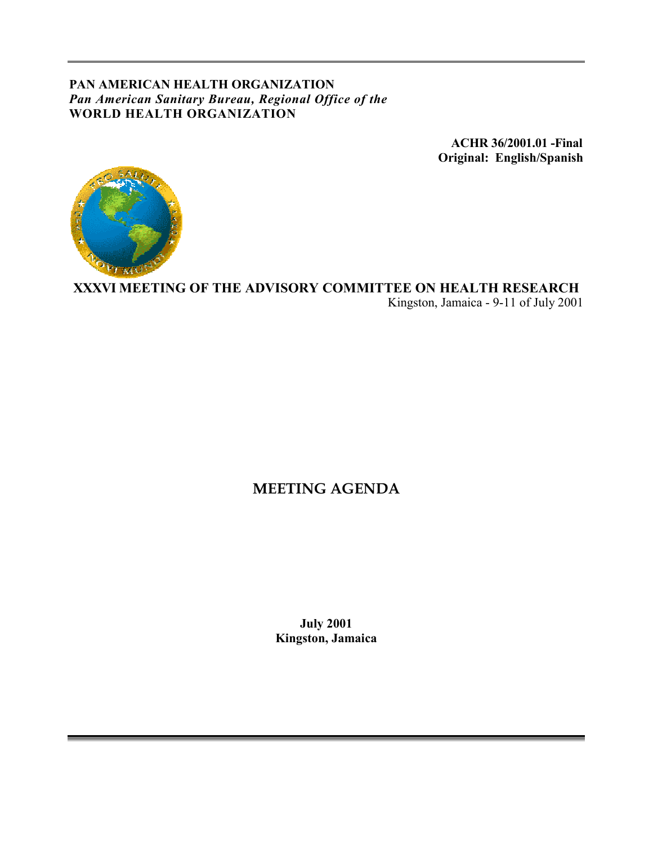## **PAN AMERICAN HEALTH ORGANIZATION** *Pan American Sanitary Bureau, Regional Office of the* **WORLD HEALTH ORGANIZATION**

**ACHR 36/2001.01 -Final Original: English/Spanish**



**XXXVI MEETING OF THE ADVISORY COMMITTEE ON HEALTH RESEARCH** Kingston, Jamaica - 9-11 of July 2001

# **MEETING AGENDA**

**July 2001 Kingston, Jamaica**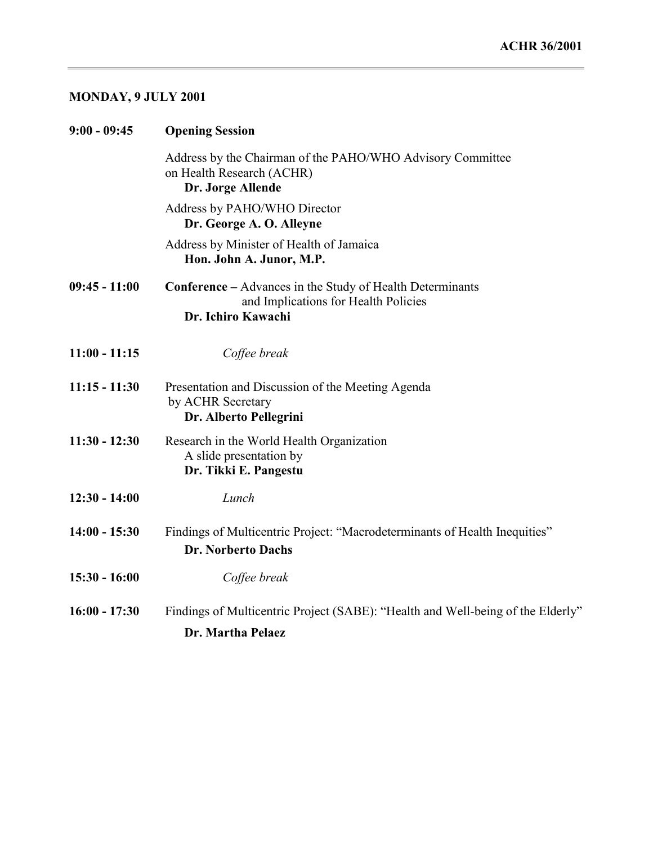# **MONDAY, 9 JULY 2001**

| $9:00 - 09:45$  | <b>Opening Session</b>                                                                                                         |
|-----------------|--------------------------------------------------------------------------------------------------------------------------------|
|                 | Address by the Chairman of the PAHO/WHO Advisory Committee<br>on Health Research (ACHR)<br>Dr. Jorge Allende                   |
|                 | Address by PAHO/WHO Director<br>Dr. George A. O. Alleyne                                                                       |
|                 | Address by Minister of Health of Jamaica<br>Hon. John A. Junor, M.P.                                                           |
| $09:45 - 11:00$ | <b>Conference</b> – Advances in the Study of Health Determinants<br>and Implications for Health Policies<br>Dr. Ichiro Kawachi |
| $11:00 - 11:15$ | Coffee break                                                                                                                   |
| $11:15 - 11:30$ | Presentation and Discussion of the Meeting Agenda<br>by ACHR Secretary<br>Dr. Alberto Pellegrini                               |
| $11:30 - 12:30$ | Research in the World Health Organization<br>A slide presentation by<br>Dr. Tikki E. Pangestu                                  |
| $12:30 - 14:00$ | Lunch                                                                                                                          |
| $14:00 - 15:30$ | Findings of Multicentric Project: "Macrodeterminants of Health Inequities"<br>Dr. Norberto Dachs                               |
| $15:30 - 16:00$ | Coffee break                                                                                                                   |
| $16:00 - 17:30$ | Findings of Multicentric Project (SABE): "Health and Well-being of the Elderly"                                                |
|                 | Dr. Martha Pelaez                                                                                                              |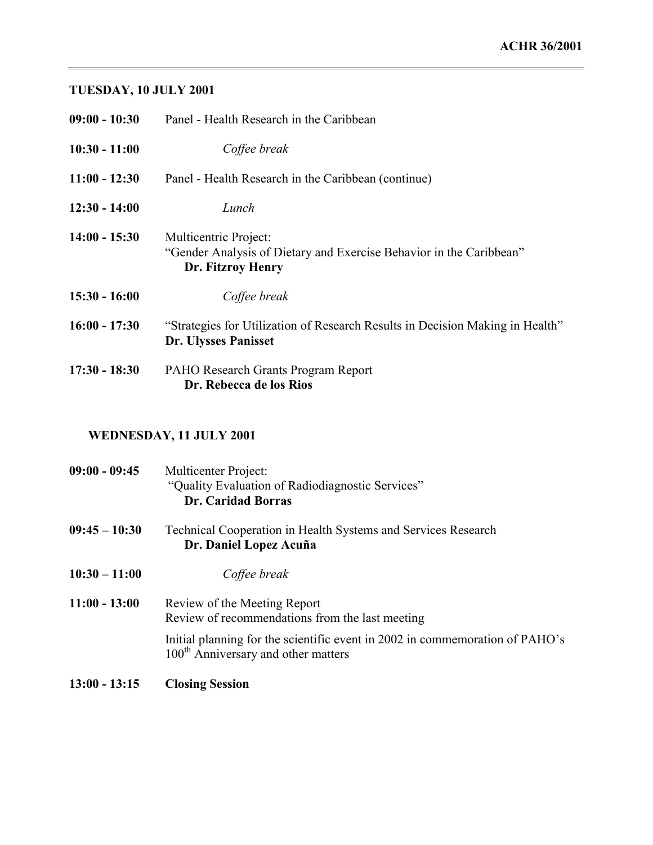# **TUESDAY, 10 JULY 2001**

| $09:00 - 10:30$ | Panel - Health Research in the Caribbean                                                                          |
|-----------------|-------------------------------------------------------------------------------------------------------------------|
| $10:30 - 11:00$ | Coffee break                                                                                                      |
| $11:00 - 12:30$ | Panel - Health Research in the Caribbean (continue)                                                               |
| $12:30 - 14:00$ | Lunch                                                                                                             |
| $14:00 - 15:30$ | Multicentric Project:<br>"Gender Analysis of Dietary and Exercise Behavior in the Caribbean"<br>Dr. Fitzroy Henry |
| $15:30 - 16:00$ | Coffee break                                                                                                      |
| $16:00 - 17:30$ | "Strategies for Utilization of Research Results in Decision Making in Health"<br>Dr. Ulysses Panisset             |
| $17:30 - 18:30$ | PAHO Research Grants Program Report<br>Dr. Rebecca de los Rios                                                    |

# **WEDNESDAY, 11 JULY 2001**

| 09:00 - 09:45   | Multicenter Project:<br>"Quality Evaluation of Radiodiagnostic Services"<br><b>Dr. Caridad Borras</b>                           |
|-----------------|---------------------------------------------------------------------------------------------------------------------------------|
| $09:45 - 10:30$ | <b>Technical Cooperation in Health Systems and Services Research</b><br>Dr. Daniel Lopez Acuña                                  |
| $10:30 - 11:00$ | Coffee break                                                                                                                    |
| $11:00 - 13:00$ | Review of the Meeting Report<br>Review of recommendations from the last meeting                                                 |
|                 | Initial planning for the scientific event in 2002 in commemoration of PAHO's<br>100 <sup>th</sup> Anniversary and other matters |
| $13:00 - 13:15$ | <b>Closing Session</b>                                                                                                          |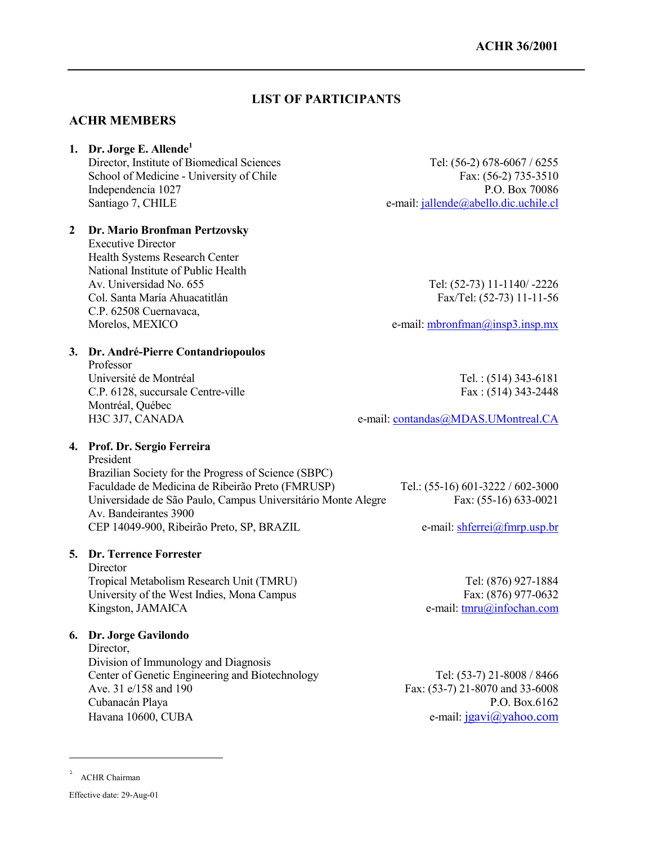## **LIST OF PARTICIPANTS**

## **ACHR MEMBERS**

## **1. Dr. Jorge E. Allende1**

Director, Institute of Biomedical Sciences Tel: (56-2) 678-6067 / 6255 School of Medicine - University of Chile Fax: (56-2) 735-3510 Independencia 1027 P.O. Box 70086 Santiago 7, CHILE e-mail: jallende@abello.dic.uchile.cl

## **2 Dr. Mario Bronfman Pertzovsky**

Executive Director Health Systems Research Center National Institute of Public Health Av. Universidad No. 655 Tel: (52-73) 11-1140/ -2226 Col. Santa María Ahuacatitlán Fax/Tel: (52-73) 11-11-56 C.P. 62508 Cuernavaca,

Morelos, MEXICO e-mail: mbronfman@insp3.insp.mx

#### **3. Dr. André-Pierre Contandriopoulos**

Professor Université de Montréal **Tel.** : (514) 343-6181 C.P. 6128, succursale Centre-ville Fax: (514) 343-2448 Montréal, Québec H3C 3J7, CANADA e-mail: contandas@MDAS.UMontreal.CA

**4. Prof. Dr. Sergio Ferreira**

President Brazilian Society for the Progress of Science (SBPC) Faculdade de Medicina de Ribeirão Preto (FMRUSP) Tel.: (55-16) 601-3222 / 602-3000 Universidade de São Paulo, Campus Universitário Monte Alegre Fax: (55-16) 633-0021 Av. Bandeirantes 3900 CEP 14049-900, Ribeirão Preto, SP, BRAZIL e-mail: shferrei@fmrp.usp.br

#### **5. Dr. Terrence Forrester**

**Director** Tropical Metabolism Research Unit (TMRU) Tel: (876) 927-1884 University of the West Indies, Mona Campus Fax: (876) 977-0632 Kingston, JAMAICA e-mail: tmru@infochan.com

#### **6. Dr. Jorge Gavilondo**

Director. Division of Immunology and Diagnosis Center of Genetic Engineering and Biotechnology Tel: (53-7) 21-8008 / 8466 Ave. 31 e/158 and 190 Fax: (53-7) 21-8070 and 33-6008 Cubanacán Playa P.O. Box.6162 Havana 10600, CUBA e-mail: jgavi@yahoo.com

1 ACHR Chairman

<u>.</u>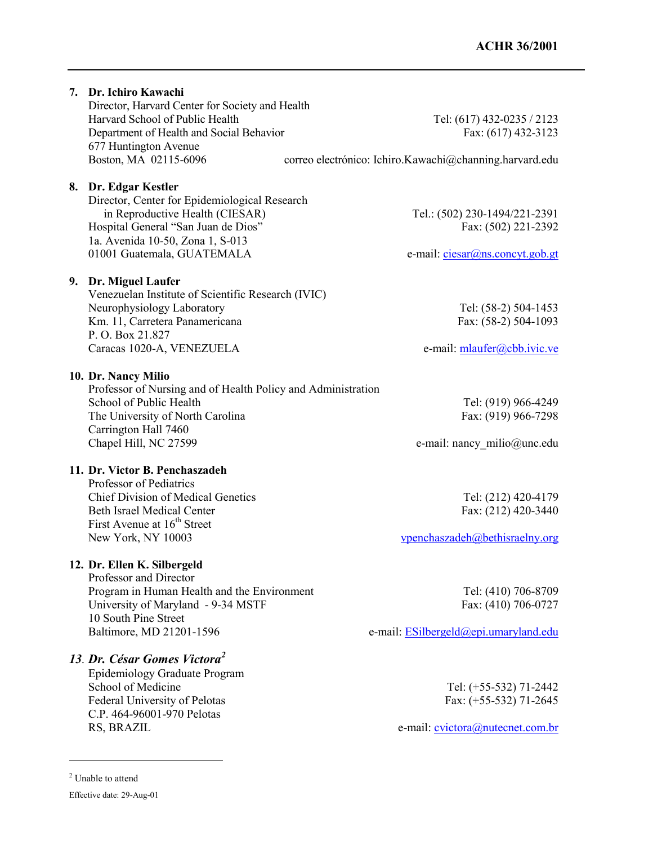## **7. Dr. Ichiro Kawachi** Director, Harvard Center for Society and Health Harvard School of Public Health Tel: (617) 432-0235 / 2123 Department of Health and Social Behavior Fax: (617) 432-3123 677 Huntington Avenue Boston, MA 02115-6096 correo electrónico: Ichiro.Kawachi@channing.harvard.edu **8. Dr. Edgar Kestler** Director, Center for Epidemiological Research in Reproductive Health (CIESAR) Tel.: (502) 230-1494/221-2391 Hospital General "San Juan de Dios" Fax: (502) 221-2392 1a. Avenida 10-50, Zona 1, S-013 01001 Guatemala, GUATEMALA e-mail: ciesar@ns.concyt.gob.gt **9. Dr. Miguel Laufer** Venezuelan Institute of Scientific Research (IVIC) Neurophysiology Laboratory Tel: (58-2) 504-1453 Km. 11, Carretera Panamericana Fax: (58-2) 504-1093 P. O. Box 21.827 Caracas 1020-A, VENEZUELA e-mail: mlaufer@cbb.ivic.ve **10. Dr. Nancy Milio** Professor of Nursing and of Health Policy and Administration School of Public Health Tel: (919) 966-4249 The University of North Carolina Fax: (919) 966-7298 Carrington Hall 7460 Chapel Hill, NC 27599 e-mail: nancy milio@unc.edu **11. Dr. Victor B. Penchaszadeh** Professor of Pediatrics Chief Division of Medical Genetics Tel: (212) 420-4179 Beth Israel Medical Center Fax: (212) 420-3440 First Avenue at  $16<sup>th</sup>$  Street New York, NY 10003 vpenchaszadeh@bethisraelny.org **12. Dr. Ellen K. Silbergeld** Professor and Director Program in Human Health and the Environment Tel: (410) 706-8709 University of Maryland  $-9-34$  MSTF Fax: (410) 706-0727 10 South Pine Street Baltimore, MD 21201-1596 e-mail: ESilbergeld@epi.umaryland.edu *13. Dr. César Gomes Victora<sup>2</sup>* Epidemiology Graduate Program

School of Medicine Tel: (+55-532) 71-2442 Federal University of Pelotas Fax: (+55-532) 71-2645 C.P. 464-96001-970 Pelotas

RS, BRAZIL e-mail:  $\frac{\text{cvictora}(a)\text{nutecent.com.br}}{a}$ 

<u>.</u>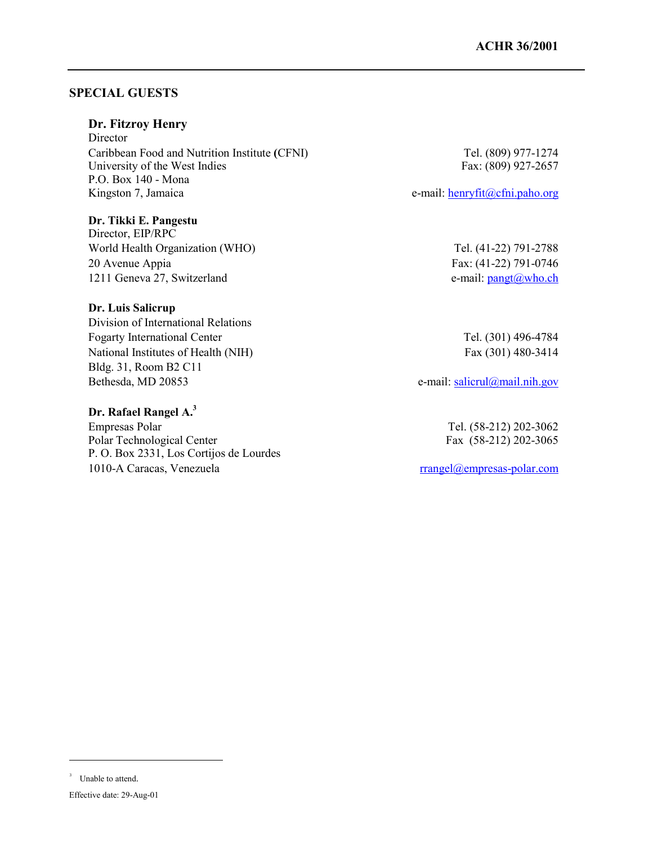## **SPECIAL GUESTS**

## **Dr. Fitzroy Henry**

**Director** Caribbean Food and Nutrition Institute **(**CFNI) Tel. (809) 977-1274 University of the West Indies Fax: (809) 927-2657 P.O. Box 140 - Mona Kingston 7, Jamaica e-mail: henryfit@cfni.paho.org

## **Dr. Tikki E. Pangestu**

Director, EIP/RPC World Health Organization (WHO) Tel. (41-22) 791-2788 20 Avenue Appia Fax: (41-22) 791-0746 1211 Geneva 27, Switzerland e-mail: pangt@who.ch

## **Dr. Luis Salicrup**

Division of International Relations Fogarty International Center Tel. (301) 496-4784 National Institutes of Health (NIH) Fax (301) 480-3414 Bldg. 31, Room B2 C11 Bethesda, MD 20853 e-mail: salicrul@mail.nih.gov

#### **Dr. Rafael Rangel A.3**

Empresas Polar Tel. (58-212) 202-3062 Polar Technological Center Fax (58-212) 202-3065 P. O. Box 2331, Los Cortijos de Lourdes 1010-A Caracas, Venezuela rrangel@empresas-polar.com

1

<sup>3</sup> Unable to attend.

Effective date: 29-Aug-01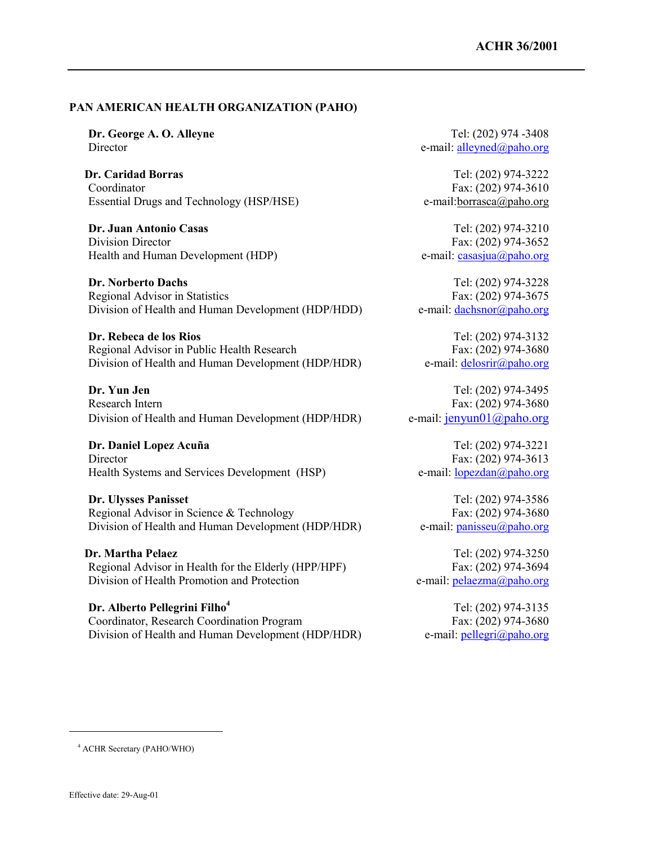#### **PAN AMERICAN HEALTH ORGANIZATION (PAHO)**

**Dr. Caridad Borras** Tel: (202) 974-3222 Coordinator Fax: (202) 974-3610 Essential Drugs and Technology (HSP/HSE) e-mail:borrasca@paho.org

**Dr. Juan Antonio Casas** Tel: (202) 974-3210 Division Director Fax: (202) 974-3652 Health and Human Development (HDP) e-mail: casasjua@paho.org

**Dr. Norberto Dachs** Tel: (202) 974-3228 Regional Advisor in Statistics Fax: (202) 974-3675 Division of Health and Human Development (HDP/HDD) e-mail: dachsnor@paho.org

**Dr. Rebeca de los Rios** Tel: (202) 974-3132 Regional Advisor in Public Health Research Fax: (202) 974-3680 Division of Health and Human Development (HDP/HDR) e-mail: delosrir@paho.org

**Dr. Yun Jen** Tel: (202) 974-3495 Research Intern Fax: (202) 974-3680 Division of Health and Human Development (HDP/HDR) e-mail: jenyun01@paho.org

**Dr. Daniel Lopez Acuña** Tel: (202) 974-3221 Director Fax: (202) 974-3613 Health Systems and Services Development (HSP) e-mail: lopezdan@paho.org

**Dr. Ulysses Panisset** Tel: (202) 974-3586 Regional Advisor in Science & Technology Fax: (202) 974-3680 Division of Health and Human Development (HDP/HDR) e-mail: panisseu@paho.org

**Dr. Martha Pelaez** Tel: (202) 974-3250 Regional Advisor in Health for the Elderly (HPP/HPF) Fax: (202) 974-3694 Division of Health Promotion and Protection e-mail: pelaezma@paho.org

**Dr. Alberto Pellegrini Filho<sup>4</sup>** Tel: (202) 974-3135 Coordinator, Research Coordination Program Fax: (202) 974-3680 Division of Health and Human Development (HDP/HDR) e-mail: pellegri@paho.org

**Dr. George A. O. Alleyne** Tel: (202) 974 -3408 Director e-mail: alleyned@paho.org

<u>.</u>

<sup>4</sup> ACHR Secretary (PAHO/WHO)